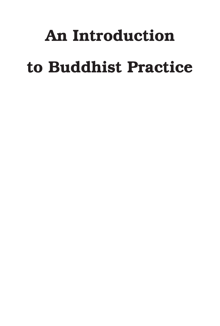# **An Introduction to Buddhist Practice**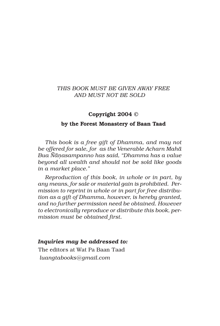#### *THIS BOOK MUST BE GIVEN AWAY FREE AND MUST NOT BE SOLD*

#### **Copyright 2004 ©**

#### **by the Forest Monastery of Baan Taad**

*This book is a free gift of Dhamma, and may not be offered for sale, for as the Venerable Acharn Mahã Bua Ñãõasampanno has said, "Dhamma has a value beyond all wealth and should not be sold like goods in a market place."*

*Reproduction of this book, in whole or in part, by any means, for sale or material gain is prohibited. Permission to reprint in whole or in part for free distribution as a gift of Dhamma, however, is hereby granted, and no further permission need be obtained. However to electronically reproduce or distribute this book, permission must be obtained first.*

#### *Inquiries may be addressed to:*

The editors at Wat Pa Baan Taad *luangtabooks@gmail.com*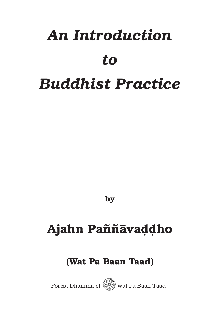## *An Introduction to Buddhist Practice*

**by**

### **Ajahn Paññāvaddho**

### **(Wat Pa Baan Taad)**

Forest Dhamma of Wat Pa Baan Taad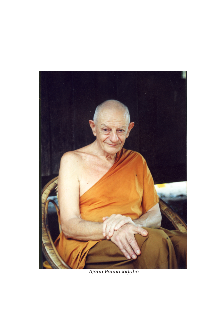

*Ajahn Pa¤¤àvaóóho*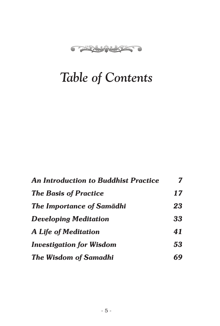

## *Table of Contents*

| <b>An Introduction to Buddhist Practice</b> |    |
|---------------------------------------------|----|
| <b>The Basis of Practice</b>                | 17 |
| <b>The Importance of Samādhi</b>            | 23 |
| <b>Developing Meditation</b>                | 33 |
| <b>A Life of Meditation</b>                 | 41 |
| <b>Investigation for Wisdom</b>             | 53 |
| <b>The Wisdom of Samadhi</b>                |    |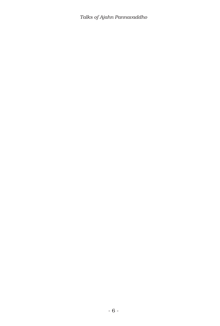*Talks of Ajahn Pannavaddho*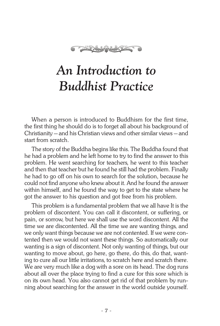<span id="page-6-0"></span>

### *An Introduction to Buddhist Practice*

When a person is introduced to Buddhism for the first time, the first thing he should do is to forget all about his background of Christianity – and his Christian views and other similar views – and start from scratch.

The story of the Buddha begins like this. The Buddha found that he had a problem and he left home to try to find the answer to this problem. He went searching for teachers, he went to this teacher and then that teacher but he found he still had the problem. Finally he had to go off on his own to search for the solution, because he could not find anyone who knew about it. And he found the answer within himself, and he found the way to get to the state where he got the answer to his question and got free from his problem.

This problem is a fundamental problem that we all have It is the problem of discontent. You can call it discontent, or suffering, or pain, or sorrow, but here we shall use the word discontent. All the time we are discontented. All the time we are wanting things, and we only want things because we are not contented. If we were contented then we would not want these things. So automatically our wanting is a sign of discontent. Not only wanting of things, but our wanting to move about, go here, go there, do this, do that, wanting to cure all our little irritations, to scratch here and scratch there. We are very much like a dog with a sore on its head. The dog runs about all over the place trying to find a cure for this sore which is on its own head. You also cannot get rid of that problem by running about searching for the answer in the world outside yourself.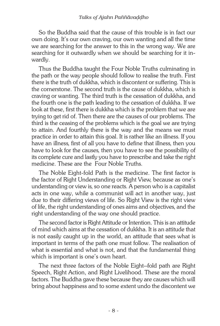So the Buddha said that the cause of this trouble is in fact our own doing. It's our own craving, our own wanting and all the time we are searching for the answer to this in the wrong way. We are searching for it outwardly when we should be searching for it inwardly.

Thus the Buddha taught the Four Noble Truths culminating in the path or the way people should follow to realise the truth. First there is the truth of dukkha, which is discontent or suffering. This is the cornerstone. The second truth is the cause of dukkha, which is craving or wanting. The third truth is the cessation of dukkha, and the fourth one is the path leading to the cessation of dukkha. If we look at these, first there is dukkha which is the problem that we are trying to get rid of. Then there are the causes of our problems. The third is the ceasing of the problems which is the goal we are trying to attain. And fourthly there is the way and the means we must practice in order to attain this goal. It is rather like an illness. If you have an illness, first of all you have to define that illness, then you have to look for the causes, then you have to see the possibility of its complete cure and lastly you have to prescribe and take the right medicine. These are the Four Noble Truths.

The Noble Eight-fold Path is the medicine. The first factor is the factor of Right Understanding or Right View, because as one's understanding or view is, so one reacts. A person who is a capitalist acts in one way, while a communist will act in another way, just due to their differing views of life. So Right View is the right view of life, the right understanding of ones aims and objectives, and the right understanding of the way one should practice.

The second factor is Right Attitude or Intention. This is an attitude of mind which aims at the cessation of dukkha. It is an attitude that is not easily caught up in the world, an attitude that sees what is important in terms of the path one must follow. The realisation of what is essential and what is not, and that the fundamental thing which is important is one's own heart.

The next three factors of the Noble Eight–fold path are Right Speech, Right Action, and Right Livelihood. These are the moral factors. The Buddha gave these because they are causes which will bring about happiness and to some extent undo the discontent we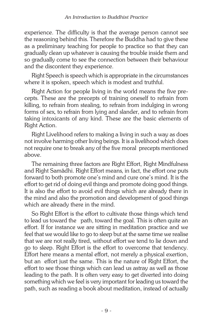experience. The difficulty is that the average person cannot see the reasoning behind this. Therefore the Buddha had to give these as a preliminary teaching for people to practice so that they can gradually clean up whatever is causing the trouble inside them and so gradually come to see the connection between their behaviour and the discontent they experience.

Right Speech is speech which is appropriate in the circumstances where it is spoken, speech which is modest and truthful.

Right Action for people living in the world means the five precepts. These are the precepts of training oneself to refrain from killing, to refrain from stealing, to refrain from indulging in wrong forms of sex, to refrain from lying and slander, and to refrain from taking intoxicants of any kind. These are the basic elements of Right Action.

Right Livelihood refers to making a living in such a way as does not involve harming other living beings. It is a livelihood which does not require one to break any of the five moral precepts mentioned above.

The remaining three factors are Right Effort, Right Mindfulness and Right Samãdhi. Right Effort means, in fact, the effort one puts forward to both promote one's mind and cure one's mind. It is the effort to get rid of doing evil things and promote doing good things. It is also the effort to avoid evil things which are already there in the mind and also the promotion and development of good things which are already there in the mind.

So Right Effort is the effort to cultivate those things which tend to lead us toward the path, toward the goal. This is often quite an effort. If for instance we are sitting in meditation practice and we feel that we would like to go to sleep but at the same time we realise that we are not really tired, without effort we tend to lie down and go to sleep. Right Effort is the effort to overcome that tendency. Effort here means a mental effort, not merely a physical exertion, but an effort just the same. This is the nature of Right Effort, the effort to see those things which can lead us astray as well as those leading to the path. It is often very easy to get diverted into doing something which we feel is very important for leading us toward the path, such as reading a book about meditation, instead of actually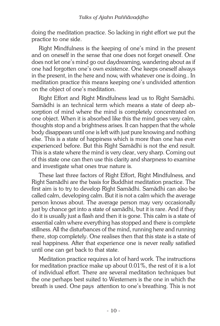doing the meditation practice. So lacking in right effort we put the practice to one side.

Right Mindfulness is the keeping of one's mind in the present and on oneself in the sense that one does not forget oneself. One does not let one's mind go out daydreaming, wandering about as if one had forgotten one's own existence. One keeps oneself always in the present, in the here and now, with whatever one is doing.. In meditation practice this means keeping one's undivided attention on the object of one's meditation.

Right Effort and Right Mindfulness lead us to Right Samãdhi. Samãdhi is an technical term which means a state of deep absorption of mind where the mind is completely concentrated on one object. When it is absorbed like this the mind goes very calm, thoughts stop and a brightness arises. It can happen that the whole body disappears until one is left with just pure knowing and nothing else. This is a state of happiness which is more than one has ever experienced before. But this Right Samãdhi is not the end result. This is a state where the mind is very clear, very sharp. Coming out of this state one can then use this clarity and sharpness to examine and investigate what ones true nature is.

These last three factors of Right Effort, Right Mindfulness, and Right Samãdhi are the basis for Buddhist meditation practice. The first aim is to try to develop Right Samãdhi. Samãdhi can also be called calm, developing calm. But it is not a calm which the average person knows about. The average person may very occasionally just by chance get into a state of samãdhi, but it is rare. And if they do it is usually just a flash and then it is gone. This calm is a state of essential calm where everything has stopped and there is complete stillness. All the disturbances of the mind, running here and running there, stop completely. One realises then that this state is a state of real happiness. After that experience one is never really satisfied until one can get back to that state.

Meditation practice requires a lot of hard work. The instructions for meditation practice make up about 0.01%, the rest of it is a lot of individual effort. There are several meditation techniques but the one perhaps best suited to Westerners is the one in which the breath is used. One pays attention to one's breathing. This is not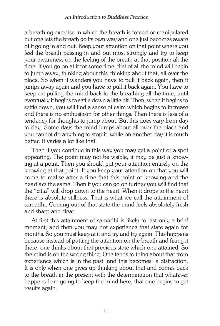a breathing exercise in which the breath is forced or manipulated but one lets the breath go its own way and one just becomes aware of it going in and out. Keep your attention on that point where you feel the breath passing in and out most strongly and try to keep your awareness on the feeling of the breath at that position all the time. If you go on at it for some time, first of all the mind will begin to jump away, thinking about this, thinking about that, all over the place. So when it wanders you have to pull it back again, then it jumps away again and you have to pull it back again. You have to keep on pulling the mind back to the breathing all the time, until eventually it begins to settle down a little bit. Then, when it begins to settle down, you will find a sense of calm which begins to increase and there is no enthusiasm for other things. Then there is less of a tendency for thoughts to jump about. But this does vary from day to day. Some days the mind jumps about all over the place and you cannot do anything to stop it, while on another day it is much better. It varies a lot like that.

Then if you continue in this way you may get a point or a spot appearing. The point may not be visible, it may be just a knowing at a point. Then you should put your attention entirely on the knowing at that point. If you keep your attention on that you will come to realise after a time that this point or knowing and the heart are the same. Then if you can go on further you will find that the "citta" will drop down to the heart. When it drops to the heart there is absolute stillness. That is what we call the attainment of samãdhi. Coming out of that state the mind feels absolutely fresh and sharp and clear.

At first this attainment of samãdhi is likely to last only a brief moment, and then you may not experience that state again for months. So you must keep at it and try and try again. This happens because instead of putting the attention on the breath and fixing it there, one thinks about that previous state which one attained. So the mind is on the wrong thing. One tends to thing about that from experience which is in the past, and this becomes a distraction. It is only when one gives up thinking about that and comes back to the breath in the present with the determination that whatever happens I am going to keep the mind here, that one begins to get results again.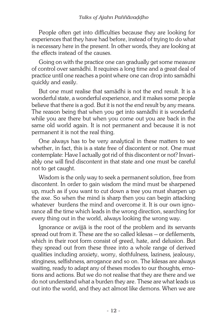People often get into difficulties because they are looking for experiences that they have had before, instead of trying to do what is necessary here in the present. In other words, they are looking at the effects instead of the causes.

Going on with the practice one can gradually get some measure of control over samãdhi. It requires a long time and a great deal of practice until one reaches a point where one can drop into samãdhi quickly and easily.

But one must realise that samãdhi is not the end result. It is a wonderful state, a wonderful experience, and it makes some people believe that there is a god. But it is not the end result by any means. The reason being that when you get into samãdhi it is wonderful while you are there but when you come out you are back in the same old world again. It is not permanent and because it is not permanent it is not the real thing.

One always has to be very analytical in these matters to see whether, in fact, this is a state free of discontent or not. One must contemplate: Have I actually got rid of this discontent or not? Invariably one will find discontent in that state and one must be careful not to get caught.

Wisdom is the only way to seek a permanent solution, free from discontent. In order to gain wisdom the mind must be sharpened up, much as if you want to cut down a tree you must sharpen up the axe. So when the mind is sharp then you can begin attacking whatever burdens the mind and overcome it. It is our own ignorance all the time which leads in the wrong direction, searching for every thing out in the world, always looking the wrong way.

Ignorance or avijjã is the root of the problem and its servants spread out from it. These are the so called kilesas – or defilements, which in their root form consist of greed, hate, and delusion. But they spread out from these three into a whole range of derived qualities including anxiety, worry, slothfulness, laziness, jealousy, stinginess, selfishness, arrogance and so on. The kilesas are always waiting, ready to adapt any of theses modes to our thoughts, emotions and actions. But we do not realise that they are there and we do not understand what a burden they are. These are what leads us out into the world, and they act almost like demons. When we are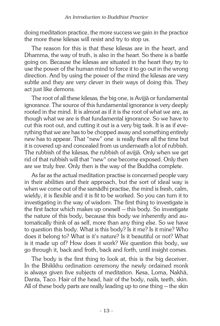doing meditation practice, the more success we gain in the practice the more these kilesas will resist and try to stop us.

The reason for this is that these kilesas are in the heart, and Dhamma, the way of truth, is also in the heart. So there is a battle going on. Because the kilesas are situated in the heart they try to use the power of the human mind to force it to go out in the wrong direction. And by using the power of the mind the kilesas are very subtle and they are very clever in their ways of doing this. They act just like demons.

The root of all these kilesas, the big one, is Avijjã or fundamental ignorance. The source of this fundamental ignorance is very deeply rooted in the mind. It is almost as if it is the root of what we are, as though what we are is that fundamental ignorance. So we have to cut this root out, and cutting it out is a very big task. It is as if everything that we are has to be chopped away and something entirely new has to appear. That "new" one is really there all the time but it is covered up and concealed from us underneath a lot of rubbish. The rubbish of the kilesas, the rubbish of avijjã. Only when we get rid of that rubbish will that "new" one become exposed. Only then are we truly free. Only then is the way of the Buddha complete.

As far as the actual meditation practise is concerned people vary in their abilities and their approach, but the sort of ideal way is when we come out of the samãdhi practise, the mind is fresh, calm, wieldy, it is flexible and it is fit to be worked. So you can turn it to investigating in the way of wisdom. The first thing to investigate is the first factor which makes up oneself – this body. So investigate the nature of this body, because this body we inherently and automatically think of as self, more than any thing else. So we have to question this body. What is this body? Is it me? Is it mine? Who does it belong to? What is it's nature? Is it beautiful or not? What is it made up of? How does it work? We question this body, we go through it, back and froth, back and forth, until insight comes.

The body is the first thing to look at, this is the big deceiver. In the Bhikkhu ordination ceremony the newly ordained monk is always given five subjects of meditation. Kesa, Loma, Nakhã, Danta, Taco. Hair of the head, hair of the body, nails, teeth, skin. All of these body parts are really leading up to one thing – the skin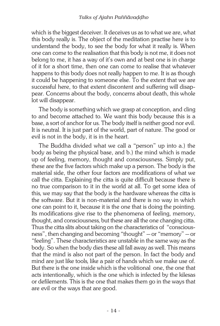which is the biggest deceiver. It deceives us as to what we are, what this body really is. The object of the meditation practise here is to understand the body, to see the body for what it really is. When one can come to the realisation that this body is not me, it does not belong to me, it has a way of it's own and at best one is in charge of it for a short time, then one can come to realise that whatever happens to this body does not really happen to me. It is as though it could be happening to someone else. To the extent that we are successful here, to that extent discontent and suffering will disappear. Concerns about the body, concerns about death, this whole lot will disappear.

The body is something which we grasp at conception, and cling to and become attached to. We want this body because this is a base, a sort of anchor for us. The body itself is neither good nor evil. It is neutral. It is just part of the world, part of nature. The good or evil is not in the body, it is in the heart.

The Buddha divided what we call a "person" up into a.) the body as being the physical base, and b.) the mind which is made up of feeling, memory, thought and consciousness. Simply put, these are the five factors which make up a person. The body is the material side, the other four factors are modifications of what we call the citta. Explaining the citta is quite difficult because there is no true comparison to it in the world at all. To get some idea of this, we may say that the body is the hardware whereas the citta is the software. But it is non-material and there is no way in which one can point to it, because it is the one that is doing the pointing. Its modifications give rise to the phenomena of feeling, memory, thought, and consciousness, but these are all the one changing citta. Thus the citta slits about taking on the characteristics of "consciousness", then changing and becoming "thought" – or "memory" – or "feeling". These characteristics are unstable in the same way as the body. So when the body dies these all fall away as well. This means that the mind is also not part of the person. In fact the body and mind are just like tools, like a pair of hands which we make use of. But there is the one inside which is the volitional one, the one that acts intentionally, which is the one which is infected by the kilesas or defilements. This is the one that makes them go in the ways that are evil or the ways that are good.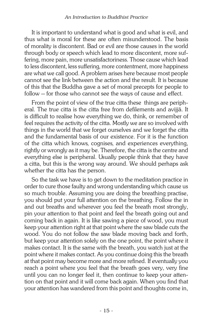It is important to understand what is good and what is evil, and thus what is moral for these are often misunderstood. The basis of morality is discontent. Bad or evil are those causes in the world through body or speech which lead to more discontent, more suffering, more pain, more unsatisfactoriness. Those cause which lead to less discontent, less suffering, more contentment, more happiness are what we call good. A problem arises here because most people cannot see the link between the action and the result. It is because of this that the Buddha gave a set of moral precepts for people to follow – for those who cannot see the ways of cause and effect.

From the point of view of the true citta these things are peripheral. The true citta is the citta free from defilements and avijjã. It is difficult to realise how everything we do, think, or remember of feel requires the activity of the citta. Mostly we are so involved with things in the world that we forget ourselves and we forget the citta and the fundamental basis of our existence. For it is the function of the citta which knows, cognises, and experiences everything, rightly or wrongly as it may be. Therefore, the citta is the centre and everything else is peripheral. Usually people think that they have a citta, but this is the wrong way around. We should perhaps ask whether the citta has the person.

So the task we have is to get down to the meditation practice in order to cure those faulty and wrong understanding which cause us so much trouble. Assuming you are doing the breathing practise, you should put your full attention on the breathing. Follow the in and out breaths and wherever you feel the breath most strongly, pin your attention to that point and feel the breath going out and coming back in again. It is like sawing a piece of wood, you must keep your attention right at that point where the saw blade cuts the wood. You do not follow the saw blade moving back and forth, but keep your attention solely on the one point, the point where it makes contact. It is the same with the breath, you watch just at the point where it makes contact. As you continue doing this the breath at that point may become more and more refined. If eventually you reach a point where you feel that the breath goes very, very fine until you can no longer feel it, then continue to keep your attention on that point and it will come back again. When you find that your attention has wandered from this point and thoughts come in,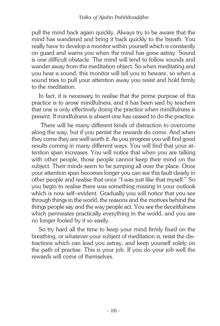pull the mind back again quickly. Always try to be aware that the mind has wandered and bring it back quickly to the breath. You really have to develop a monitor within yourself which is constantly on guard and warns you when the mind has gone astray. Sound is one difficult obstacle. The mind will tend to follow sounds and wander away from the meditation object. So when meditating and you hear a sound, this monitor will tell you to beware, so when a sound tries to pull your attention away you resist and hold firmly to the meditation.

In fact, it is necessary to realise that the prime purpose of this practice is to arose mindfulness, and it has been said by teachers that one is only effectively doing the practice when mindfulness is present. If mindfulness is absent one has ceased to do the practice.

 There will be many different kinds of distraction to overcome along the way, but if you persist the rewards do come. And when they come they are well worth it. As you progress you will find good results coming in many different ways. You will find that your attention span increases. You will notice that when you are talking with other people, those people cannot keep their mind on the subject. Their minds seem to be jumping all over the place. Once your attention span becomes longer you can see this fault clearly in other people and realise that once "I was just like that myself." So you begin to realise there was something missing in your outlook which is now self–evident. Gradually you will notice that you see through things in the world, the reasons and the motives behind the things people say and the way people act. You see the deceitfulness which permeates practically everything in the world, and you are no longer fooled by it so easily.

So try hard all the time to keep your mind firmly fixed on the breathing, or whatever your subject of meditation is, resist the distractions which can lead you astray, and keep yourself solely on the path of practise. This is your job. If you do your job well the rewards will come of themselves.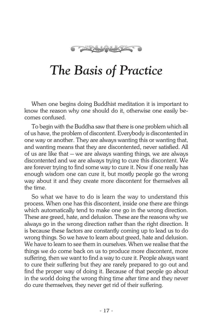

### <span id="page-16-0"></span>*The Basis of Practice*

When one begins doing Buddhist meditation it is important to know the reason why one should do it, otherwise one easily becomes confused.

To begin with the Buddha saw that there is one problem which all of us have, the problem of discontent. Everybody is discontented in one way or another. They are always wanting this or wanting that, and wanting means that they are discontented, never satisfied. All of us are like that – we are always wanting things, we are always discontented and we are always trying to cure this discontent. We are forever trying to find some way to cure it. Now if one really has enough wisdom one can cure it, but mostly people go the wrong way about it and they create more discontent for themselves all the time.

So what we have to do is learn the way to understand this process. When one has this discontent, inside one there are things which automatically tend to make one go in the wrong direction. These are greed, hate, and delusion. These are the reasons why we always go in the wrong direction rather than the right direction. It is because these factors are constantly coming up to lead us to do wrong things. So we have to learn about greed, hate and delusion. We have to learn to see them in ourselves. When we realise that the things we do come back on us to produce more discontent, more suffering, then we want to find a way to cure it. People always want to cure their suffering but they are rarely prepared to go out and find the proper way of doing it. Because of that people go about in the world doing the wrong thing time after time and they never do cure themselves, they never get rid of their suffering.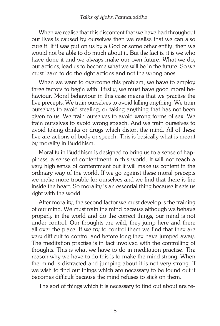When we realise that this discontent that we have had throughout our lives is caused by ourselves then we realise that we can also cure it. If it was put on us by a God or some other entity, then we would not be able to do much about it. But the fact is, it is we who have done it and we always make our own future. What we do, our actions, lead us to become what we will be in the future. So we must learn to do the right actions and not the wrong ones.

When we want to overcome this problem, we have to employ three factors to begin with. Firstly, we must have good moral behaviour. Moral behaviour in this case means that we practise the five precepts. We train ourselves to avoid killing anything. We train ourselves to avoid stealing, or taking anything that has not been given to us. We train ourselves to avoid wrong forms of sex. We train ourselves to avoid wrong speech. And we train ourselves to avoid taking drinks or drugs which distort the mind. All of these five are actions of body or speech. This is basically what is meant by morality in Buddhism.

Morality in Buddhism is designed to bring us to a sense of happiness, a sense of contentment in this world. It will not reach a very high sense of contentment but it will make us content in the ordinary way of the world. If we go against these moral precepts we make more trouble for ourselves and we find that there is fire inside the heart. So morality is an essential thing because it sets us right with the world.

After morality, the second factor we must develop is the training of our mind. We must train the mind because although we behave properly in the world and do the correct things, our mind is not under control. Our thoughts are wild, they jump here and there all over the place. If we try to control them we find that they are very difficult to control and before long they have jumped away. The meditation practise is in fact involved with the controlling of thoughts. This is what we have to do in meditation practise. The reason why we have to do this is to make the mind strong. When the mind is distracted and jumping about it is not very strong. If we wish to find out things which are necessary to be found out it becomes difficult because the mind refuses to stick on them.

The sort of things which it is necessary to find out about are re-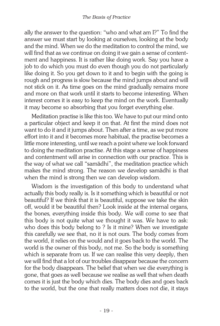ally the answer to the question: "who and what am I?" To find the answer we must start by looking at ourselves, looking at the body and the mind. When we do the meditation to control the mind, we will find that as we continue on doing it we gain a sense of contentment and happiness. It is rather like doing work. Say you have a job to do which you must do even though you do not particularly like doing it. So you get down to it and to begin with the going is rough and progress is slow because the mind jumps about and will not stick on it. As time goes on the mind gradually remains more and more on that work until it starts to become interesting. When interest comes it is easy to keep the mind on the work. Eventually it may become so absorbing that you forget everything else.

Meditation practise is like this too. We have to put our mind onto a particular object and keep it on that. At first the mind does not want to do it and it jumps about. Then after a time, as we put more effort into it and it becomes more habitual, the practise becomes a little more interesting, until we reach a point where we look forward to doing the meditation practise. At this stage a sense of happiness and contentment will arise in connection with our practice. This is the way of what we call "samãdhi", the meditation practice which makes the mind strong. The reason we develop samãdhi is that when the mind is strong then we can develop wisdom.

Wisdom is the investigation of this body to understand what actually this body really is. Is it something which is beautiful or not beautiful? If we think that it is beautiful, suppose we take the skin off, would it be beautiful then? Look inside at the internal organs, the bones, everything inside this body. We will come to see that this body is not quite what we thought it was. We have to ask: who does this body belong to ? Is it mine? When we investigate this carefully we see that, no it is not ours. The body comes from the world, it relies on the would and it goes back to the world. The world is the owner of this body, not me. So the body is something which is separate from us. If we can realise this very deeply, then we will find that a lot of our troubles disappear because the concern for the body disappears. The belief that when we die everything is gone, that goes as well because we realise as well that when death comes it is just the body which dies. The body dies and goes back to the world, but the one that really matters does not die, it stays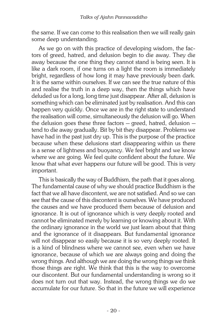the same. If we can come to this realisation then we will really gain some deep understanding.

As we go on with this practice of developing wisdom, the factors of greed, hatred, and delusion begin to die away. They die away because the one thing they cannot stand is being seen. It is like a dark room, if one turns on a light the room is immediately bright, regardless of how long it may have previously been dark. It is the same within ourselves. If we can see the true nature of this and realise the truth in a deep way, then the things which have deluded us for a long, long time just disappear. After all, delusion is something which can be eliminated just by realisation. And this can happen very quickly. Once we are in the right state to understand the realisation will come, simultaneously the delusion will go. When the delusion goes these three factors – greed, hatred, delusion – tend to die away gradually. Bit by bit they disappear. Problems we have had in the past just dry up. This is the purpose of the practice because when these delusions start disappearing within us there is a sense of lightness and buoyancy. We feel bright and we know where we are going. We feel quite confident about the future. We know that what ever happens our future will be good. This is very important.

This is basically the way of Buddhism, the path that it goes along. The fundamental cause of why we should practice Buddhism is the fact that we all have discontent, we are not satisfied. And so we can see that the cause of this discontent is ourselves. We have produced the causes and we have produced them because of delusion and ignorance. It is out of ignorance which is very deeply rooted and cannot be eliminated merely by learning or knowing about it. With the ordinary ignorance in the world we just learn about that thing and the ignorance of it disappears. But fundamental ignorance will not disappear so easily because it is so very deeply rooted. It is a kind of blindness where we cannot see, even when we have ignorance, because of which we are always going and doing the wrong things. And although we are doing the wrong things we think those things are right. We think that this is the way to overcome our discontent. But our fundamental understanding is wrong so it does not turn out that way. Instead, the wrong things we do we accumulate for our future. So that in the future we will experience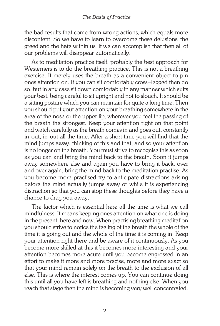the bad results that come from wrong actions, which equals more discontent. So we have to learn to overcome these delusions, the greed and the hate within us. If we can accomplish that then all of our problems will disappear automatically.

As to meditation practice itself, probably the best approach for Westerners is to do the breathing practice. This is not a breathing exercise. It merely uses the breath as a convenient object to pin ones attention on. If you can sit comfortably cross–legged then do so, but in any case sit down comfortably in any manner which suits your best, being careful to sit upright and not to slouch. It should be a sitting posture which you can maintain for quite a long time. Then you should put your attention on your breathing somewhere in the area of the nose or the upper lip, wherever you feel the passing of the breath the strongest. Keep your attention right on that point and watch carefully as the breath comes in and goes out, constantly in-out, in-out all the time. After a short time you will find that the mind jumps away, thinking of this and that, and so your attention is no longer on the breath. You must strive to recognise this as soon as you can and bring the mind back to the breath. Soon it jumps away somewhere else and again you have to bring it back, over and over again, bring the mind back to the meditation practise. As you become more practised try to anticipate distractions arising before the mind actually jumps away or while it is experiencing distraction so that you can stop these thoughts before they have a chance to drag you away.

The factor which is essential here all the time is what we call mindfulness. It means keeping ones attention on what one is doing in the present, here and now. When practising breathing meditation you should strive to notice the feeling of the breath the whole of the time it is going out and the whole of the time it is coming in. Keep your attention right there and be aware of it continuously. As you become more skilled at this it becomes more interesting and your attention becomes more acute until you become engrossed in an effort to make it more and more precise, more and more exact so that your mind remain solely on the breath to the exclusion of all else. This is where the interest comes up. You can continue doing this until all you have left is breathing and nothing else. When you reach that stage then the mind is becoming very well concentrated.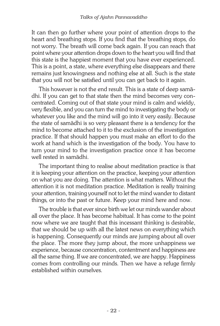It can then go further where your point of attention drops to the heart and breathing stops. If you find that the breathing stops, do not worry. The breath will come back again. If you can reach that point where your attention drops down to the heart you will find that this state is the happiest moment that you have ever experienced. This is a point, a state, where everything else disappears and there remains just knowingness and nothing else at all. Such is the state that you will not be satisfied until you can get back to it again.

This however is not the end result. This is a state of deep samãdhi. If you can get to that state then the mind becomes very concentrated. Coming out of that state your mind is calm and wieldy, very flexible, and you can turn the mind to investigating the body or whatever you like and the mind will go into it very easily. Because the state of samãdhi is so very pleasant there is a tendency for the mind to become attached to it to the exclusion of the investigation practice. If that should happen you must make an effort to do the work at hand which is the investigation of the body. You have to turn your mind to the investigation practice once it has become well rested in samãdhi.

The important thing to realise about meditation practice is that it is keeping your attention on the practice, keeping your attention on what you are doing. The attention is what matters. Without the attention it is not meditation practice. Meditation is really training your attention, training yourself not to let the mind wander to distant things, or into the past or future. Keep your mind here and now.

The trouble is that ever since birth we let our minds wander about all over the place. It has become habitual. It has come to the point now where we are taught that this incessant thinking is desirable, that we should be up with all the latest news on everything which is happening. Consequently our minds are jumping about all over the place. The more they jump about, the more unhappiness we experience, because concentration, contentment and happiness are all the same thing. If we are concentrated, we are happy. Happiness comes from controlling our minds. Then we have a refuge firmly established within ourselves.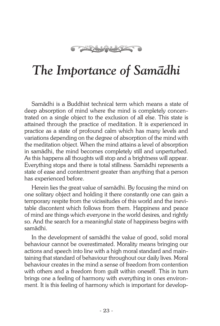#### Mary March 2018

### <span id="page-22-0"></span>*The Importance of Samãdhi*

Samãdhi is a Buddhist technical term which means a state of deep absorption of mind where the mind is completely concentrated on a single object to the exclusion of all else. This state is attained through the practice of meditation. It is experienced in practice as a state of profound calm which has many levels and variations depending on the degree of absorption of the mind with the meditation object. When the mind attains a level of absorption in samãdhi, the mind becomes completely still and unperturbed. As this happens all thoughts will stop and a brightness will appear. Everything stops and there is total stillness. Samãdhi represents a state of ease and contentment greater than anything that a person has experienced before.

Herein lies the great value of samãdhi. By focusing the mind on one solitary object and holding it there constantly one can gain a temporary respite from the vicissitudes of this world and the inevitable discontent which follows from them. Happiness and peace of mind are things which everyone in the world desires, and rightly so. And the search for a meaningful state of happiness begins with samãdhi.

In the development of samãdhi the value of good, solid moral behaviour cannot be overestimated. Morality means bringing our actions and speech into line with a high moral standard and maintaining that standard of behaviour throughout our daily lives. Moral behaviour creates in the mind a sense of freedom from contention with others and a freedom from guilt within oneself. This in turn brings one a feeling of harmony with everything in ones environment. It is this feeling of harmony which is important for develop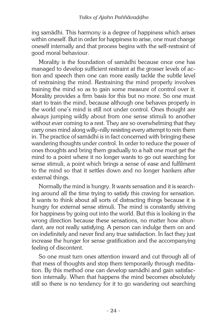ing samãdhi. This harmony is a degree of happiness which arises within oneself. But in order for happiness to arise, one must change oneself internally and that process begins with the self-restraint of good moral behaviour.

Morality is the foundation of samãdhi because once one has managed to develop sufficient restraint at the grosser levels of action and speech then one can more easily tackle the subtle level of restraining the mind. Restraining the mind properly involves training the mind so as to gain some measure of control over it. Morality provides a firm basis for this but no more. So one must start to train the mind, because although one behaves properly in the world one's mind is still not under control. Ones thought are always jumping wildly about from one sense stimuli to another without ever coming to a rest. They are so overwhelming that they carry ones mind along willy-nilly resisting every attempt to rein them in. The practice of samãdhi is in fact concerned with bringing these wandering thoughts under control. In order to reduce the power of ones thoughts and bring them gradually to a halt one must get the mind to a point where it no longer wants to go out searching for sense stimuli, a point which brings a sense of ease and fulfilment to the mind so that it settles down and no longer hankers after external things.

Normally the mind is hungry. It wants sensation and it is searching around all the time trying to satisfy this craving for sensation. It wants to think about all sorts of distracting things because it is hungry for external sense stimuli. The mind is constantly striving for happiness by going out into the world. But this is looking in the wrong direction because these sensations, no matter how abundant, are not really satisfying. A person can indulge them on and on indefinitely and never find any true satisfaction. In fact they just increase the hunger for sense gratification and the accompanying feeling of discontent.

So one must turn ones attention inward and cut through all of that mess of thoughts and stop them temporarily through meditation. By this method one can develop samãdhi and gain satisfaction internally. When that happens the mind becomes absolutely still so there is no tendency for it to go wandering out searching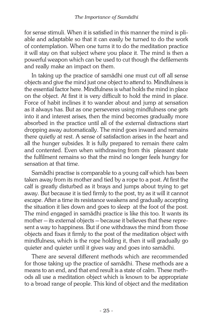for sense stimuli. When it is satisfied in this manner the mind is pliable and adaptable so that it can easily be turned to do the work of contemplation. When one turns it to do the meditation practice it will stay on that subject where you place it. The mind is then a powerful weapon which can be used to cut though the defilements and really make an impact on them.

In taking up the practice of samãdhi one must cut off all sense objects and give the mind just one object to attend to. Mindfulness is the essential factor here. Mindfulness is what holds the mind in place on the object. At first it is very difficult to hold the mind in place. Force of habit inclines it to wander about and jump at sensation as it always has. But as one perseveres using mindfulness one gets into it and interest arises, then the mind becomes gradually more absorbed in the practice until all of the external distractions start dropping away automatically. The mind goes inward and remains there quietly at rest. A sense of satisfaction arises in the heart and all the hunger subsides. It is fully prepared to remain there calm and contented. Even when withdrawing from this pleasant state the fulfilment remains so that the mind no longer feels hungry for sensation at that time.

Samãdhi practise is comparable to a young calf which has been taken away from its mother and tied by a rope to a post. At first the calf is greatly disturbed as it brays and jumps about trying to get away. But because it is tied firmly to the post, try as it will it cannot escape. After a time its resistance weakens and gradually accepting the situation it lies down and goes to sleep at the foot of the post. The mind engaged in samãdhi practice is like this too. It wants its mother – its external objects – because it believes that these represent a way to happiness. But if one withdraws the mind from those objects and fixes it firmly to the post of the meditation object with mindfulness, which is the rope holding it, then it will gradually go quieter and quieter until it gives way and goes into samãdhi.

There are several different methods which are recommended for those taking up the practice of samãdhi. These methods are a means to an end, and that end result is a state of calm. These methods all use a meditation object which is known to be appropriate to a broad range of people. This kind of object and the meditation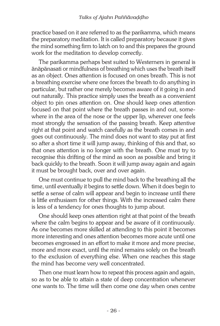practice based on it are referred to as the parikamma, which means the preparatory meditation. It is called preparatory because it gives the mind something firm to latch on to and this prepares the ground work for the meditation to develop correctly.

The parikamma perhaps best suited to Westerners in general is ãnãpãnasati or mindfulness of breathing which uses the breath itself as an object. Ones attention is focused on ones breath. This is not a breathing exercise where one forces the breath to do anything in particular, but rather one merely becomes aware of it going in and out naturally. This practice simply uses the breath as a convenient object to pin ones attention on. One should keep ones attention focused on that point where the breath passes in and out, somewhere in the area of the nose or the upper lip, wherever one feels most strongly the sensation of the passing breath. Keep attentive right at that point and watch carefully as the breath comes in and goes out continuously. The mind does not want to stay put at first so after a short time it will jump away, thinking of this and that, so that ones attention is no longer with the breath. One must try to recognise this drifting of the mind as soon as possible and bring it back quickly to the breath. Soon it will jump away again and again it must be brought back, over and over again.

One must continue to pull the mind back to the breathing all the time, until eventually it begins to settle down. When it does begin to settle a sense of calm will appear and begin to increase until there is little enthusiasm for other things. With the increased calm there is less of a tendency for ones thoughts to jump about.

One should keep ones attention right at that point of the breath where the calm begins to appear and be aware of it continuously. As one becomes more skilled at attending to this point it becomes more interesting and ones attention becomes more acute until one becomes engrossed in an effort to make it more and more precise, more and more exact, until the mind remains solely on the breath to the exclusion of everything else. When one reaches this stage the mind has become very well concentrated.

Then one must learn how to repeat this process again and again, so as to be able to attain a state of deep concentration whenever one wants to. The time will then come one day when ones centre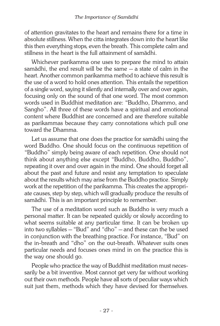of attention gravitates to the heart and remains there for a time in absolute stillness. When the citta integrates down into the heart like this then everything stops, even the breath. This complete calm and stillness in the heart is the full attainment of samãdhi.

Whichever parikamma one uses to prepare the mind to attain samãdhi, the end result will be the same – a state of calm in the heart. Another common parikamma method to achieve this result is the use of a word to hold ones attention. This entails the repetition of a single word, saying it silently and internally over and over again, focusing only on the sound of that one word. The most common words used in Buddhist meditation are: "Buddho, Dhammo, and Sangho". All three of these words have a spiritual and emotional content where Buddhist are concerned and are therefore suitable as parikammas because they carry connotations which pull one toward the Dhamma.

Let us assume that one does the practice for samãdhi using the word Buddho. One should focus on the continuous repetition of "Buddho" simply being aware of each repetition. One should not think about anything else except "Buddho, Buddho, Buddho", repeating it over and over again in the mind. One should forget all about the past and future and resist any temptation to speculate about the results which may arise from the Buddho practice. Simply work at the repetition of the parikamma. This creates the appropriate causes, step by step, which will gradually produce the results of samãdhi. This is an important principle to remember.

The use of a meditation word such as Buddho is very much a personal matter. It can be repeated quickly or slowly according to what seems suitable at any particular time. It can be broken up into two syllables – "Bud" and "dho" – and these can the be used in conjunction with the breathing practice. For instance, "Bud" on the in-breath and "dho" on the out-breath. Whatever suits ones particular needs and focuses ones mind in on the practice this is the way one should go.

People who practice the way of Buddhist meditation must necessarily be a bit inventive. Most cannot get very far without working out their own methods. People have all sorts of peculiar ways which suit just them, methods which they have devised for themselves.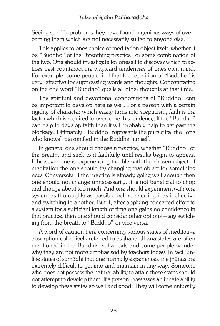Seeing specific problems they have found ingenious ways of overcoming them which are not necessarily suited to anyone else.

This applies to ones choice of meditation object itself, whether it be "Buddho" or the "breathing practice" or some combination of the two. One should investigate for oneself to discover which practices best counteract the wayward tendencies of ones own mind. For example, some people find that the repetition of "Buddho" is very effective for suppressing words and thoughts. Concentrating on the one word "Buddho" quells all other thoughts at that time.

The spiritual and devotional connotations of "Buddho" can be important to develop here as well. For a person with a certain rigidity of character which easily turns into scepticism, faith is the factor which is required to overcome this tendency. If the "Buddho" can help to develop faith then it will probably help to get past the blockage. Ultimately, "Buddho" represents the pure citta, the "one who knows" personified in the Buddha himself.

In general one should choose a practice, whether "Buddho" or the breath, and stick to it faithfully until results begin to appear. If however one is experiencing trouble with the chosen object of meditation the one should try changing that object for something new. Conversely, if the practice is already going well enough then one should not change unnecessarily. It is not beneficial to chop and change about too much. And one should experiment with one system as thoroughly as possible before rejecting it as ineffective and switching to another. But if, after applying concerted effort to a system for a sufficient length of time one gains no confidence in that practice, then one should consider other options – say switching from the breath to "Buddho" or vice versa.

A word of caution here concerning various states of meditative absorption collectively referred to as jhãna. Jhãna states are often mentioned in the Buddhist sutta texts and some people wonder why they are not more emphasised by teachers today. In fact, unlike states of samãdhi that one normally experiences, the jhãnas are extremely difficult to get into and maintain in any way. Someone who does not possess the natural ability to attain these states should not attempt to develop them. If a person possesses an innate ability to develop these states so well and good. They will come naturally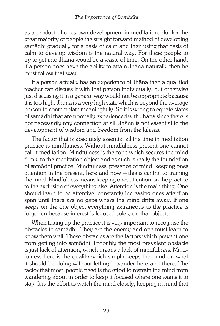as a product of ones own development in meditation. But for the great majority of people the straight forward method of developing samãdhi gradually for a basis of calm and then using that basis of calm to develop wisdom is the natural way. For these people to try to get into Jhãna would be a waste of time. On the other hand, if a person does have the ability to attain Jhãna naturally then he must follow that way.

If a person actually has an experience of Jhãna then a qualified teacher can discuss it with that person individually, but otherwise just discussing it in a general way would not be appropriate because it is too high. Jhãna is a very high state which is beyond the average person to contemplate meaningfully. So it is wrong to equate states of samãdhi that are normally experienced with Jhãna since there is not necessarily any connection at all. Jhãna is not essential to the development of wisdom and freedom from the kilesas.

The factor that is absolutely essential all the time in meditation practice is mindfulness. Without mindfulness present one cannot call it meditation. Mindfulness is the rope which secures the mind firmly to the meditation object and as such is really the foundation of samãdhi practice. Mindfulness, presence of mind, keeping ones attention in the present, here and now – this is central to training the mind. Mindfulness means keeping ones attention on the practice to the exclusion of everything else. Attention is the main thing. One should learn to be attentive, constantly increasing ones attention span until there are no gaps where the mind drifts away. If one keeps on the one object everything extraneous to the practice is forgotten because interest is focused solely on that object.

When taking up the practice it is very important to recognise the obstacles to samãdhi. They are the enemy and one must learn to know them well. These obstacles are the factors which prevent one from getting into samãdhi. Probably the most prevalent obstacle is just lack of attention, which means a lack of mindfulness. Mindfulness here is the quality which simply keeps the mind on what it should be doing without letting it wander here and there. The factor that most people need is the effort to restrain the mind from wandering about in order to keep it focused where one wants it to stay. It is the effort to watch the mind closely, keeping in mind that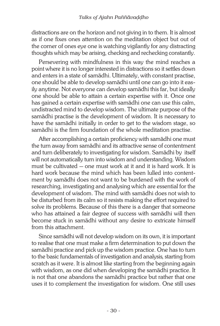distractions are on the horizon and not giving in to them. It is almost as if one fixes ones attention on the meditation object but out of the corner of ones eye one is watching vigilantly for any distracting thoughts which may be arising, checking and rechecking constantly.

Persevering with mindfulness in this way the mind reaches a point where it is no longer interested in distractions so it settles down and enters in a state of samãdhi. Ultimately, with constant practise, one should be able to develop samãdhi until one can go into it easily anytime. Not everyone can develop samãdhi this far, but ideally one should be able to attain a certain expertise with it. Once one has gained a certain expertise with samãdhi one can use this calm, undistracted mind to develop wisdom. The ultimate purpose of the samãdhi practise is the development of wisdom. It is necessary to have the samãdhi initially in order to get to the wisdom stage, so samãdhi is the firm foundation of the whole meditation practise.

After accomplishing a certain proficiency with samãdhi one must the turn away from samãdhi and its attractive sense of contentment and turn deliberately to investigating for wisdom. Samãdhi by itself will not automatically turn into wisdom and understanding. Wisdom must be cultivated – one must work at it and it is hard work. It is hard work because the mind which has been lulled into contentment by samãdhi does not want to be burdened with the work of researching, investigating and analysing which are essential for the development of wisdom. The mind with samãdhi does not wish to be disturbed from its calm so it resists making the effort required to solve its problems. Because of this there is a danger that someone who has attained a fair degree of success with samãdhi will then become stuck in samãdhi without any desire to extricate himself from this attachment.

Since samãdhi will not develop wisdom on its own, it is important to realise that one must make a firm determination to put down the samãdhi practice and pick up the wisdom practice. One has to turn to the basic fundamentals of investigation and analysis, starting from scratch as it were. It is almost like starting from the beginning again with wisdom, as one did when developing the samãdhi practice. It is not that one abandons the samãdhi practice but rather that one uses it to complement the investigation for wisdom. One still uses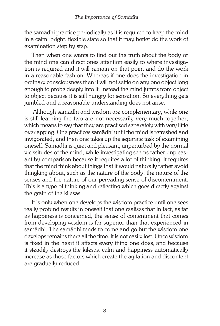the samãdhi practice periodically as it is required to keep the mind in a calm, bright, flexible state so that it may better do the work of examination step by step.

Then when one wants to find out the truth about the body or the mind one can direct ones attention easily to where investigation is required and it will remain on that point and do the work in a reasonable fashion. Whereas if one does the investigation in ordinary consciousness then it will not settle on any one object long enough to probe deeply into it. Instead the mind jumps from object to object because it is still hungry for sensation. So everything gets jumbled and a reasonable understanding does not arise.

 Although samãdhi and wisdom are complementary, while one is still learning the two are not necessarily very much together, which means to say that they are practised separately with very little overlapping. One practices samãdhi until the mind is refreshed and invigorated, and then one takes up the separate task of examining oneself. Samãdhi is quiet and pleasant, unperturbed by the normal vicissitudes of the mind, while investigating seems rather unpleasant by comparison because it requires a lot of thinking. It requires that the mind think about things that it would naturally rather avoid thingking about, such as the nature of the body, the nature of the senses and the nature of our pervading sense of discontentment. This is a type of thinking and reflecting which goes directly against the grain of the kilesas.

It is only when one develops the wisdom practice until one sees really profund results in oneself that one realises that in fact, as far as happiness is concerned, the sense of contentment that comes from developing wisdom is far superior than that experienced in samãdhi. The samãdhi tends to come and go but the wisdom one develops remains there all the time, it is not easily lost. Once wisdom is fixed in the heart it affects every thing one does, and because it steadily destroys the kilesas, calm and happiness automatically increase as those factors which create the agitation and discontent are gradually reduced.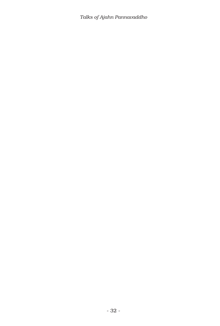*Talks of Ajahn Pannavaddho*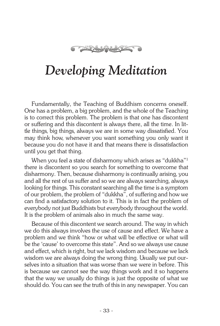### <span id="page-32-0"></span>*Developing Meditation*

Fundamentally, the Teaching of Buddhism concerns oneself. One has a problem, a big problem, and the whole of the Teaching is to correct this problem. The problem is that one has discontent or suffering and this discontent is always there, all the time. In little things, big things, always we are in some way dissatisfied. You may think how, whenever you want something you only want it because you do not have it and that means there is dissatisfaction until you get that thing.

When you feel a state of disharmony which arises as "dukkha"<sup>1</sup> there is discontent so you search for something to overcome that disharmony. Then, because disharmony is continually arising, you and all the rest of us suffer and so we are always searching, always looking for things. This constant searching all the time is a symptom of our problem, the problem of "dukkha", of suffering and how we can find a satisfactory solution to it. This is in fact the problem of everybody not just Buddhists but everybody throughout the world. It is the problem of animals also in much the same way.

Because of this discontent we search around. The way in which we do this always involves the use of cause and effect. We have a problem and we think "how or what will be effective or what will be the 'cause' to overcome this state". And so we always use cause and effect, which is right, but we lack wisdom and because we lack wisdom we are always doing the wrong thing. Usually we put ourselves into a situation that was worse than we were in before. This is because we cannot see the way things work and it so happens that the way we usually do things is just the opposite of what we should do. You can see the truth of this in any newspaper. You can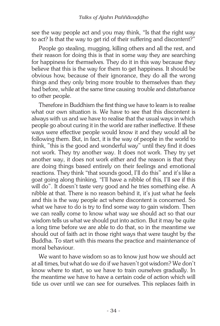see the way people act and you may think, "Is that the right way to act? Is that the way to get rid of their suffering and discontent?"

People go stealing, mugging, killing others and all the rest, and their reason for doing this is that in some way they are searching for happiness for themselves. They do it in this way because they believe that this is the way for them to get happiness. It should be obvious how, because of their ignorance, they do all the wrong things and they only bring more trouble to themselves than they had before, while at the same time causing trouble and disturbance to other people.

Therefore in Buddhism the first thing we have to learn is to realise what our own situation is. We have to see that this discontent is always with us and we have to realise that the usual ways in which people go about curing it in the world are rather ineffective. If these ways were effective people would know it and they would all be following them. But, in fact, it is the way of people in the world to think, "this is the good and wonderful way" until they find it does not work. They try another way. It does not work. They try yet another way, it does not work either and the reason is that they are doing things based entirely on their feelings and emotional reactions. They think "that sounds good, I'll do this" and it's like a goat going along thinking, "I'll have a nibble of this, I'll see if this will do". It doesn't taste very good and he tries something else. A nibble at that. There is no reason behind it, it's just what he feels and this is the way people act where discontent is concerned. So what we have to do is try to find some way to gain wisdom. Then we can really come to know what way we should act so that our wisdom tells us what we should put into action. But it may be quite a long time before we are able to do that, so in the meantime we should out of faith act in those right ways that were taught by the Buddha. To start with this means the practice and maintenance of moral behaviour.

We want to have wisdom so as to know just how we should act at all times, but what do we do if we haven't got wisdom? We don't know where to start, so we have to train ourselves gradually. In the meantime we have to have a certain code of action which will tide us over until we can see for ourselves. This replaces faith in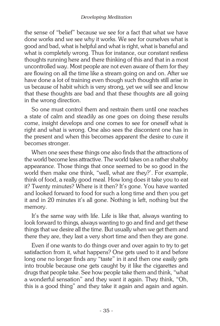the sense of "belief" because we see for a fact that what we have done works and we see why it works. We see for ourselves what is good and bad, what is helpful and what is right, what is baneful and what is completely wrong. Thus for instance, our constant restless thoughts running here and there thinking of this and that in a most uncontrolled way. Most people are not even aware of them for they are flowing on all the time like a stream going on and on. After we have done a lot of training even though such thoughts still arise in us because of habit which is very strong, yet we will see and know that these thoughts are bad and that these thoughts are all going in the wrong direction.

So one must control them and restrain them until one reaches a state of calm and steadily as one goes on doing these results come, insight develops and one comes to see for oneself what is right and what is wrong. One also sees the discontent one has in the present and when this becomes apparent the desire to cure it becomes stronger.

When one sees these things one also finds that the attractions of the world become less attractive. The world takes on a rather shabby appearance. Those things that once seemed to be so good in the world then make one think, "well, what are they?'. For example, think of food, a really good meal. How long does it take you to eat it? Twenty minutes? Where is it then? It's gone. You have wanted and looked forward to food for such a long time and then you get it and in 20 minutes it's all gone. Nothing is left, nothing but the memory.

It's the same way with life. Life is like that, always wanting to look forward to things, always wanting to go and find and get these things that we desire all the time. But usually when we get them and there they are, they last a very short time and then they are gone.

Even if one wants to do things over and over again to try to get satisfaction from it, what happens? One gets used to it and before long one no longer finds any "taste" in it and then one easily gets into trouble because one gets caught by it like the cigarettes and drugs that people take. See how people take them and think, "what a wonderful sensation" and they want it again. They think, "Oh, this is a good thing" and they take it again and again and again.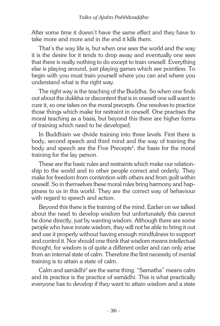After some time it doesn't have the same effect and they have to take more and more and in the end it kills them.

That's the way life is, but when one sees the world and the way it is the desire for it tends to drop away and eventually one sees that there is really nothing to do except to train oneself. Everything else is playing around, just playing games which are pointless. To begin with you must train yourself where you can and where you understand what is the right way.

The right way is the teaching of the Buddha. So when one finds out about the dukkha or discontent that is in oneself one will want to cure it, so one takes on the moral precepts. One resolves to practice those things which make for restraint in oneself. One practises the moral teaching as a basis, but beyond this there are higher forms of training which need to be developed.

In Buddhism we divide training into three levels. First there is body, second speech and third mind and the way of training the body and speech are the Five Precepts<sup>2</sup>, the basis for the moral training for the lay person.

These are the basic rules and restraints which make our relationship to the world and to other people correct and orderly. They make for freedom from contention with others and from guilt within oneself. So in themselves these moral rules bring harmony and happiness to us in this world. They are the correct way of behaviour with regard to speech and action.

Beyond this there is the training of the mind. Earlier on we talked about the need to develop wisdom but unfortunately this cannot be done directly, just by wanting wisdom. Although there are some people who have innate wisdom, they will not be able to bring it out and use it properly without having enough mindfulness to support and control it. Nor should one think that wisdom means intellectual thought, for wisdom is of quite a different order and can only arise from an internal state of calm. Therefore the first necessity of mental training is to attain a state of calm.

Calm and samādhi<sup>3</sup> are the same thing. "Samatha" means calm and its practice is the practice of samãdhi. This is what practically everyone has to develop if they want to attain wisdom and a state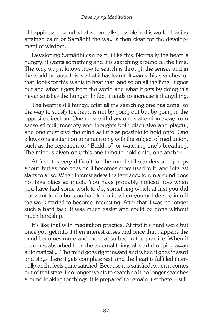of happiness beyond what is normally possible in this world. Having attained calm or Samãdhi the way is then clear for the development of wisdom.

Developing Samãdhi can be put like this. Normally the heart is hungry, it wants something and it is searching around all the time. The only way it knows how to search is through the senses and in the world because this is what it has learnt. It wants this, searches for that, looks for this, wants to hear that, and so on all the time. It goes out and what it gets from the world and what it gets by doing this never satisfies the hunger. In fact it tends to increase it if anything.

The heart is still hungry after all the searching one has done, so the way to satisfy the heart is not by going out but by going in the opposite direction. One must withdraw one's attention away from sense stimuli, memory and thoughts both discursive and playful, and one must give the mind as little as possible to hold onto. One allows one's attention to remain only with the subject of meditation, such as the repetition of "Buddho" or watching one's breathing. The mind is given only this one thing to hold onto, one anchor.

At first it is very difficult for the mind still wanders and jumps about, but as one goes on it becomes more used to it, and interest starts to arise. When interest arises the tendency to run around does not take place so much. You have probably noticed how when you have had some work to do, something which at first you did not want to do but you had to do it, when you got deeply into it the work started to become interesting. After that it was no longer such a hard task. It was much easier and could be done without much hardship.

It's like that with meditation practice. At first it's hard work but once you get into it then interest arises and once that happens the mind becomes more and more absorbed in the practice. When it becomes absorbed then the external things all start dropping away automatically. The mind goes right inward and when it goes inward and stays there it gets complete rest, and the heart is fulfilled internally and it feels quite satisfied. Because it is satisfied, when it comes out of that state it no longer wants to search so it no longer searches around looking for things. It is prepared to remain just there – still.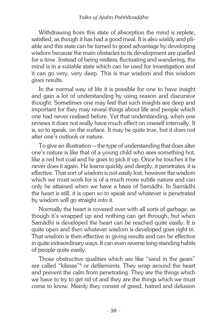Withdrawing from this state of absorption the mind is replete, satisfied, as though it has had a good meal. It is also wieldy and pliable and this state can be turned to good advantage by developing wisdom because the main obstacles to its development are quelled for a time. Instead of being restless, fluctuating and wandering, the mind is in a suitable state which can be used for investigation and it can go very, very deep. This is true wisdom and this wisdom gives results.

In the normal way of life it is possible for one to have insight and gain a lot of understanding by using reason and discursive thought. Sometimes one may feel that such insights are deep and important for they may reveal things about life and people which one had never realised before. Yet that understanding, when one reviews it does not really have much effect on oneself internally. It is, so to speak, on the surface. It may be quite true, but it does not alter one's outlook or nature.

To give an illustration – the type of understanding that does alter one's nature is like that of a young child who sees something hot, like a red hot coal and he goes to pick it up. Once he touches it he never does it again. He learns quickly and deeply, it penetrates, it is effective. That sort of wisdom is not easily lost, however the wisdom which we must work for is of a much more subtle nature and can only be attained when we have a basis of Samãdhi. In Samãdhi the heart is still, it is open so to speak and whatever is penetrated by wisdom will go straight into it.

Normally the heart is covered over with all sorts of garbage, as though it's wrapped up and nothing can get through, but when Samãdhi is developed the heart can be reached quite easily. It is quite open and then whatever wisdom is developed goes right in. That wisdom is then effective in giving results and can be effective in quite extraordinary ways. It can even reverse long-standing habits of people quite easily.

Those obstructive qualities which are like "sand in the gears" are called "kilesas"4 or defilements. They wrap around the heart and prevent the calm from penetrating. They are the things which we have to try to get rid of and they are the things which we must come to know. Mainly they consist of greed, hatred and delusion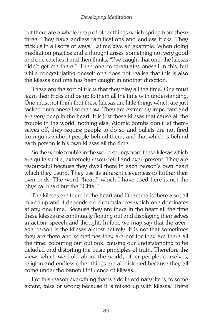but there are a whole heap of other things which spring from these three. They have endless ramifications and endless tricks. They trick us in all sorts of ways. Let me give an example. When doing meditation practice and a thought arises, something not very good and one catches it and then thinks, "I've caught that one, the kilesas didn't get me there." Then one congratulates oneself in this, but while congratulating oneself one does not realise that this is also the kilesas and one has been caught in another direction.

These are the sort of tricks that they play all the time. One must learn their tricks and be up to them all the time with understanding. One must not think that these kilesas are little things which are just tacked onto oneself somehow. They are extremely important and are very deep in the heart. It is just these kilesas that cause all the trouble in the world, nothing else. Atomic bombs don't let themselves off, they require people to do so and bullets are not fired from guns without people behind them, and that which is behind each person is his own kilesas all the time.

So the whole trouble in the world springs from these kilesas which are quite subtle, extremely resourceful and ever-present. They are resourceful because they dwell there in each person's own heart which they usurp. They use its inherent cleverness to further their own ends. The word "heart" which I have used here is not the physical heart but the "Citta<sup>5</sup>".

The kilesas are there in the heart and Dhamma is there also, all mixed up and it depends on circumstances which one dominates at any one time. Because they are there in the heart all the time these kilesas are continually floating out and displaying themselves in action, speech and thought. In fact, we may say that the average person is the kilesas almost entirely. It is not that sometimes they are there and sometimes they are not for they are there all the time, colouring our outlook, causing our understanding to be deluded and distorting the basic principles of truth. Therefore the views which we hold about the world, other people, ourselves, religion and endless other things are all distorted because they all come under the baneful influence of kilesas.

For this reason everything that we do in ordinary life is, to some extent, false or wrong because it is mixed up with kilesas. There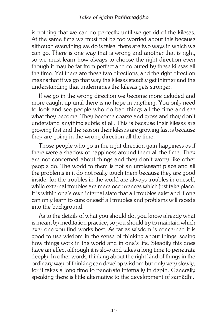is nothing that we can do perfectly until we get rid of the kilesas. At the same time we must not be too worried about this because although everything we do is false, there are two ways in which we can go. There is one way that is wrong and another that is right, so we must learn how always to choose the right direction even though it may be far from perfect and coloured by these kilesas all the time. Yet there are these two directions, and the right direction means that if we go that way the kilesas steadily get thinner and the understanding that undermines the kilesas gets stronger.

If we go in the wrong direction we become more deluded and more caught up until there is no hope in anything. You only need to look and see people who do bad things all the time and see what they become. They become coarse and gross and they don't understand anything subtle at all. This is because their kilesas are growing fast and the reason their kilesas are growing fast is because they are going in the wrong direction all the time.

Those people who go in the right direction gain happiness as if there were a shadow of happiness around them all the time. They are not concerned about things and they don't worry like other people do. The world to them is not an unpleasant place and all the problems in it do not really touch them because they are good inside, for the troubles in the world are always troubles in oneself, while external troubles are mere occurrences which just take place. It is within one's own internal state that all troubles exist and if one can only learn to cure oneself all troubles and problems will recede into the background.

As to the details of what you should do, you know already what is meant by meditation practice, so you should try to maintain which ever one you find works best. As far as wisdom is concerned it is good to use wisdom in the sense of thinking about things, seeing how things work in the world and in one's life. Steadily this does have an effect although it is slow and takes a long time to penetrate deeply. In other words, thinking about the right kind of things in the ordinary way of thinking can develop wisdom but only very slowly, for it takes a long time to penetrate internally in depth. Generally speaking there is little alternative to the development of samãdhi.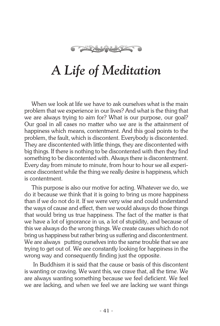

# *A Life of Meditation*

When we look at life we have to ask ourselves what is the main problem that we experience in our lives? And what is the thing that we are always trying to aim for? What is our purpose, our goal? Our goal in all cases no matter who we are is the attainment of happiness which means, contentment. And this goal points to the problem, the fault, which is discontent. Everybody is discontented. They are discontented with little things, they are discontented with big things. If there is nothing to be discontented with then they find something to be discontented with. Always there is discontentment. Every day from minute to minute, from hour to hour we all experience discontent while the thing we really desire is happiness, which is contentment.

This purpose is also our motive for acting. Whatever we do, we do it because we think that it is going to bring us more happiness than if we do not do it. If we were very wise and could understand the ways of cause and effect, then we would always do those things that would bring us true happiness. The fact of the matter is that we have a lot of ignorance in us, a lot of stupidity, and because of this we always do the wrong things. We create causes which do not bring us happiness but rather bring us suffering and discontentment. We are always putting ourselves into the same trouble that we are trying to get out of. We are constantly looking for happiness in the wrong way and consequently finding just the opposite.

 In Buddhism it is said that the cause or basis of this discontent is wanting or craving. We want this, we crave that, all the time. We are always wanting something because we feel deficient. We feel we are lacking, and when we feel we are lacking we want things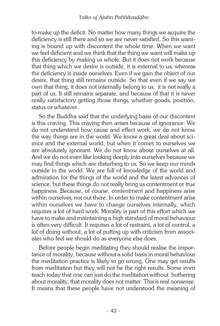to make up the deficit. No matter how many things we acquire the deficiency is still there and so we are never satisfied. So this wanting is bound up with discontent the whole time. When we want we feel deficient and we think that the thing we want will make up this deficiency by making us whole. But it does not work because that thing which we desire is outside, it is external to us, whereas the deficiency is inside ourselves. Even if we gain the object of our desire, that thing still remains outside. So that even if we say we own that thing, it does not internally belong to us, it is not really a part of us. It still remains separate, and because of that it is never really satisfactory getting those things, whether goods, position, status or whatever.

So the Buddha said that the underlying basis of our discontent is this craving. This craving then arises because of ignorance. We do not understand how cause and effect work, we do not know the way things are in the world. We know a great deal about science and the external world, but when it comes to ourselves we are absolutely ignorant. We do not know about ourselves at all. And we do not even like looking deeply into ourselves because we may find things which are disturbing to us. So we keep our minds outside in the world. We are full of knowledge of the world and admiration for the things of the world and the latest advances of science, but these things do not really bring us contentment or true happiness. Because, of course, contentment and happiness arise within ourselves, not out there. In order to make contentment arise within ourselves we have to change ourselves internally, which requires a lot of hard work. Morality is part of this effort which we have to make and maintaining a high standard of moral behaviour is often very difficult. It requires a lot of restraint, a lot of control, a lot of doing without, a lot of putting up with criticism from associates who feel we should do as everyone else does.

Before people begin meditating they should realise the importance of morality, because without a solid basis in moral behaviour the meditation practice is likely to go wrong. One may get results from meditation but they will not be the right results. Some even teach today that one can just do the meditation without bothering about morality, that morality does not matter. This is real nonsense. It means that these people have not understood the meaning of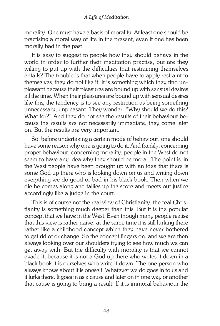morality. One must have a basis of morality. At least one should be practising a moral way of life in the present, even if one has been morally bad in the past.

It is easy to suggest to people how they should behave in the world in order to further their meditation practise, but are they willing to put up with the difficulties that restraining themselves entails? The trouble is that when people have to apply restraint to themselves, they do not like it. It is something which they find unpleasant because their pleasures are bound up with sensual desires all the time. When their pleasures are bound up with sensual desires like this, the tendency is to see any restriction as being something unnecessary, unpleasant. They wonder: "Why should we do this? What for?" And they do not see the results of their behaviour because the results are not necessarily immediate, they come later on. But the results are very important.

So, before undertaking a certain mode of behaviour, one should have some reason why one is going to do it. And frankly, concerning proper behaviour, concerning morality, people in the West do not seem to have any idea why they should be moral. The point is, in the West people have been brought up with an idea that there is some God up there who is looking down on us and writing down everything we do good or bad in his black book. Then when we die he comes along and tallies up the score and meets out justice accordingly like a judge in the court.

This is of course not the real view of Christianity, the real Christianity is something much deeper than this. But it is the popular concept that we have in the West. Even though many people realise that this view is rather naive, at the same time it is still lurking there rather like a childhood concept which they have never bothered to get rid of or change. So the concept lingers on, and we are then always looking over our shoulders trying to see how much we can get away with. But the difficulty with morality is that we cannot evade it, because it is not a God up there who writes it down in a black book it is ourselves who write it down. The one person who always knows about it is oneself. Whatever we do goes in to us and it lurks there. It goes in as a cause and later on in one way or another that cause is going to bring a result. If it is immoral behaviour the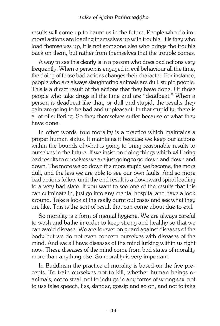results will come up to haunt us in the future. People who do immoral actions are loading themselves up with trouble. It is they who load themselves up, it is not someone else who brings the trouble back on them, but rather from themselves that the trouble comes.

A way to see this clearly is in a person who does bad actions very frequently. When a person is engaged in evil behaviour all the time, the doing of those bad actions changes their character. For instance, people who are always slaughtering animals are dull, stupid people. This is a direct result of the actions that they have done. Or those people who take drugs all the time and are "deadbeat." When a person is deadbeat like that, or dull and stupid, the results they gain are going to be bad and unpleasant. In that stupidity, there is a lot of suffering. So they themselves suffer because of what they have done.

In other words, true morality is a practice which maintains a proper human status. It maintains it because we keep our actions within the bounds of what is going to bring reasonable results to ourselves in the future. If we insist on doing things which will bring bad results to ourselves we are just going to go down and down and down. The more we go down the more stupid we become, the more dull, and the less we are able to see our own faults. And so more bad actions follow until the end result is a downward spiral leading to a very bad state. If you want to see one of the results that this can culminate in, just go into any mental hospital and have a look around. Take a look at the really burnt out cases and see what they are like. This is the sort of result that can come about due to evil.

So morality is a form of mental hygiene. We are always careful to wash and bathe in order to keep strong and healthy so that we can avoid disease. We are forever on guard against diseases of the body but we do not even concern ourselves with diseases of the mind. And we all have diseases of the mind lurking within us right now. These diseases of the mind come from bad states of morality more than anything else. So morality is very important.

In Buddhism the practice of morality is based on the five precepts. To train ourselves not to kill, whether human beings or animals, not to steal, not to indulge in any forms of wrong sex, not to use false speech, lies, slander, gossip and so on, and not to take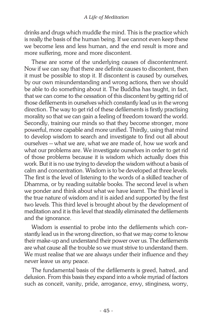drinks and drugs which muddle the mind. This is the practice which is really the basis of the human being. If we cannot even keep these we become less and less human, and the end result is more and more suffering, more and more discontent.

These are some of the underlying causes of discontentment. Now if we can say that there are definite causes to discontent, then it must be possible to stop it. If discontent is caused by ourselves, by our own misunderstanding and wrong actions, then we should be able to do something about it. The Buddha has taught, in fact, that we can come to the cessation of this discontent by getting rid of those defilements in ourselves which constantly lead us in the wrong direction. The way to get rid of these defilements is firstly practising morality so that we can gain a feeling of freedom toward the world. Secondly, training our minds so that they become stronger, more powerful, more capable and more unified. Thirdly, using that mind to develop wisdom to search and investigate to find out all about ourselves – what we are, what we are made of, how we work and what our problems are. We investigate ourselves in order to get rid of those problems because it is wisdom which actually does this work. But it is no use trying to develop the wisdom without a basis of calm and concentration. Wisdom is to be developed at three levels. The first is the level of listening to the words of a skilled teacher of Dhamma, or by reading suitable books. The second level is when we ponder and think about what we have learnt. The third level is the true nature of wisdom and it is aided and supported by the first two levels. This third level is brought about by the development of meditation and it is this level that steadily eliminated the defilements and the ignorance.

Wisdom is essential to probe into the defilements which constantly lead us in the wrong direction, so that we may come to know their make-up and understand their power over us. The defilements are what cause all the trouble so we must strive to understand them. We must realise that we are always under their influence and they never leave us any peace.

The fundamental basis of the defilements is greed, hatred, and delusion. From this basis they expand into a whole myriad of factors such as conceit, vanity, pride, arrogance, envy, stinginess, worry,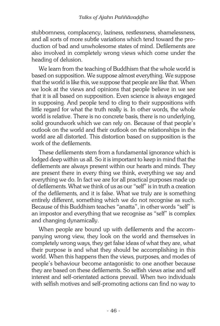stubbornness, complacency, laziness, restlessness, shamelessness, and all sorts of more subtle variations which tend toward the production of bad and unwholesome states of mind. Defilements are also involved in completely wrong views which come under the heading of delusion.

We learn from the teaching of Buddhism that the whole world is based on supposition. We suppose almost everything. We suppose that the world is like this, we suppose that people are like that. When we look at the views and opinions that people believe in we see that it is all based on supposition. Even science is always engaged in supposing. And people tend to cling to their suppositions with little regard for what the truth really is. In other words, the whole world is relative. There is no concrete basis, there is no underlying, solid groundwork which we can rely on. Because of that people's outlook on the world and their outlook on the relationships in the world are all distorted. This distortion based on supposition is the work of the defilements.

These defilements stem from a fundamental ignorance which is lodged deep within us all. So it is important to keep in mind that the defilements are always present within our hearts and minds. They are present there in every thing we think, everything we say and everything we do. In fact we are for all practical purposes made up of defilements. What we think of us as our "self" is in truth a creation of the defilements, and it is false. What we truly are is something entirely different, something which we do not recognise as such. Because of this Buddhism teaches "anatta", in other words "self" is an impostor and everything that we recognise as "self" is complex and changing dynamically.

When people are bound up with defilements and the accompanying wrong view, they look on the world and themselves in completely wrong ways, they get false ideas of what they are, what their purpose is and what they should be accomplishing in this world. When this happens then the views, purposes, and modes of people's behaviour become antagonistic to one another because they are based on these defilements. So selfish views arise and self interest and self-orientated actions prevail. When two individuals with selfish motives and self-promoting actions can find no way to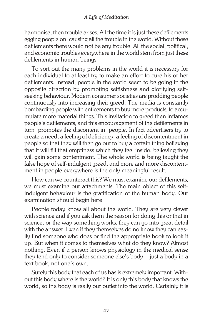harmonise, then trouble arises. All the time it is just these defilements egging people on, causing all the trouble in the world. Without these defilements there would not be any trouble. All the social, political, and economic troubles everywhere in the world stem from just these defilements in human beings.

To sort out the many problems in the world it is necessary for each individual to at least try to make an effort to cure his or her defilements. Instead, people in the world seem to be going in the opposite direction by promoting selfishness and glorifying selfseeking behaviour. Modern consumer societies are prodding people continuously into increasing their greed. The media is constantly bombarding people with enticements to buy more products, to accumulate more material things. This invitation to greed then inflames people's defilements, and this encouragement of the defilements in turn promotes the discontent in people. In fact advertisers try to create a need, a feeling of deficiency, a feeling of discontentment in people so that they will then go out to buy a certain thing believing that it will fill that emptiness which they feel inside, believing they will gain some contentment. The whole world is being taught the false hope of self-indulgent greed, and more and more discontentment in people everywhere is the only meaningful result.

How can we counteract this? We must examine our defilements, we must examine our attachments. The main object of this selfindulgent behaviour is the gratification of the human body. Our examination should begin here.

People today know all about the world. They are very clever with science and if you ask them the reason for doing this or that in science, or the way something works, they can go into great detail with the answer. Even if they themselves do no know they can easily find someone who does or find the appropriate book to look it up. But when it comes to themselves what do they know? Almost nothing. Even if a person knows physiology in the medical sense they tend only to consider someone else's body – just a body in a text book, not one's own.

Surely this body that each of us has is extremely important. Without this body where is the world? It is only this body that knows the world, so the body is really our outlet into the world. Certainly it is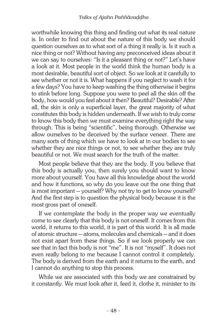worthwhile knowing this thing and finding out what its real nature is. In order to find out about the nature of this body we should question ourselves as to what sort of a thing it really is. Is it such a nice thing or not? Without having any preconceived ideas about it we can say to ourselves: "Is it a pleasant thing or not?" Let's have a look at it. Most people in the world think the human body is a most desirable, beautiful sort of object. So we look at it carefully to see whether or not it is. What happens if you neglect to wash it for a few days? You have to keep washing the thing otherwise it begins to stink before long. Suppose you were to peel all the skin off the body, how would you feel about it then? Beautiful? Desirable? After all, the skin is only a superficial layer, the great majority of what constitutes this body is hidden underneath. If we wish to truly come to know this body then we must examine everything right the way through. This is being "scientific", being thorough. Otherwise we allow ourselves to be deceived by the surface veneer. There are many sorts of thing which we have to look at in our bodies to see whether they are nice things or not, to see whether they are truly beautiful or not. We must search for the truth of the matter.

Most people believe that they are the body. If you believe that this body is actually you, then surely you should want to know more about yourself. You have all this knowledge about the world and how it functions, so why do you leave out the one thing that is most important – yourself? Why not try to get to know yourself? And the first step is to question the physical body because it is the most gross part of oneself.

If we contemplate the body in the proper way we eventually come to see clearly that this body is not oneself. It comes from this world, it returns to this world, it is part of this world. It is all made of atomic structure – atoms, molecules and chemicals – and it does not exist apart from these things. So if we look properly we can see that in fact this body is not "me". It is not "myself". It does not even really belong to me because I cannot control it completely. The body is derived from the earth and it returns to the earth, and I cannot do anything to stop this process.

While we are associated with this body we are constrained by it constantly. We must look after it, feed it, clothe it, minister to its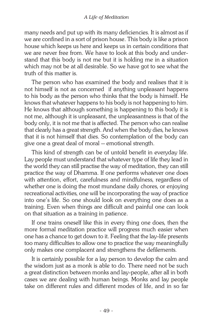many needs and put up with its many deficiencies. It is almost as if we are confined in a sort of prison house. This body is like a prison house which keeps us here and keeps us in certain conditions that we are never free from. We have to look at this body and understand that this body is not me but it is holding me in a situation which may not be at all desirable. So we have got to see what the truth of this matter is.

The person who has examined the body and realises that it is not himself is not as concerned if anything unpleasant happens to his body as the person who thinks that the body is himself. He knows that whatever happens to his body is not happening to him. He knows that although something is happening to this body it is not me, although it is unpleasant, the unpleasantness is that of the body only, it is not me that is affected. The person who can realise that clearly has a great strength. And when the body dies, he knows that it is not himself that dies. So contemplation of the body can give one a great deal of moral – emotional strength.

This kind of strength can be of untold benefit in everyday life. Lay people must understand that whatever type of life they lead in the world they can still practise the way of meditation, they can still practice the way of Dhamma. If one performs whatever one does with attention, effort, carefulness and mindfulness, regardless of whether one is doing the most mundane daily chores, or enjoying recreational activities, one will be incorporating the way of practice into one's life. So one should look on everything one does as a training. Even when things are difficult and painful one can look on that situation as a training in patience.

If one trains oneself like this in every thing one does, then the more formal meditation practice will progress much easier when one has a chance to get down to it. Feeling that the lay-life presents too many difficulties to allow one to practice the way meaningfully only makes one complacent and strengthens the defilements.

It is certainly possible for a lay person to develop the calm and the wisdom just as a monk is able to do. There need not be such a great distinction between monks and lay-people, after all in both cases we are dealing with human beings. Monks and lay people take on different rules and different modes of life, and in so far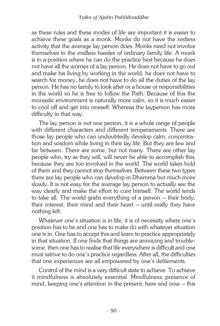as these rules and these modes of life are important it is easier to achieve these goals as a monk. Monks do not have the restless activity that the average lay person does. Monks need not involve themselves in the endless hassles of ordinary family life. A monk is in a position where he can do the practice best because he does not have all the worries of a lay person. He does not have to go out and make his living by working in the world, he does not have to search for money, he does not have to do all the duties of the lay person. He has no family to look after or a house or responsibilities in the world so he is free to follow the Path. Because of this the monastic environment is naturally more calm, so it is much easier to cool off and get into oneself. Whereas the layperson has more difficulty in that way.

The lay person is not one person, it is a whole range of people with different characters and different temperaments. There are those lay people who can undoubtedly develop calm, concentration and wisdom while living in their lay life. But they are few and far between. There are some, but not many. There are other lay people who, try as they will, will never be able to accomplish this, because they are too involved in the world. The world takes hold of them and they cannot stop themselves. Between these two types there are lay people who can develop in Dhamma but much more slowly. It is not easy for the average lay person to actually see the way clearly and make the effort to cure himself. The world tends to take all. The world grabs everything of a person – their body, their interest, their mind and their heart – until really they have nothing left.

Whatever one's situation is in life, it is of necessity where one's position has to be and one has to make do with whatever situation one is in. One has to accept this and learn to practice appropriately in that situation. If one finds that things are annoying and troublesome, then one has to realise that life everywhere is difficult and one must sstrive to do one's practice regardless. After all, the difficulties that one experiences are all empowered by one's defilements.

Control of the mind is a very difficult state to achieve. To achieve it mindfulness is absolutely essential. Mindfulness, presence of mind, keeping one's attention in the present, here and now – this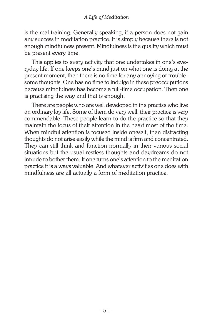is the real training. Generally speaking, if a person does not gain any success in meditation practice, it is simply because there is not enough mindfulness present. Mindfulness is the quality which must be present every time.

This applies to every activity that one undertakes in one's everyday life. If one keeps one's mind just on what one is doing at the present moment, then there is no time for any annoying or troublesome thoughts. One has no time to indulge in these preoccuputions because mindfulness has become a full-time occupation. Then one is practising the way and that is enough.

There are people who are well developed in the practise who live an ordinary lay life. Some of them do very well, their practice is very commendable. These people learn to do the practice so that they maintain the focus of their attention in the heart most of the time. When mindful attention is focused inside oneself, then distracting thoughts do not arise easily while the mind is firm and concentrated. They can still think and function normally in their various social situations but the usual restless thoughts and daydreams do not intrude to bother them. If one turns one's attention to the meditation practice it is always valuable. And whatever activities one does with mindfulness are all actually a form of meditation practice.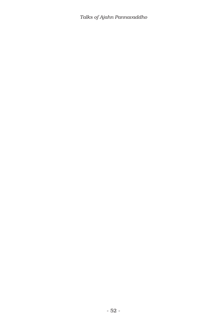*Talks of Ajahn Pannavaddho*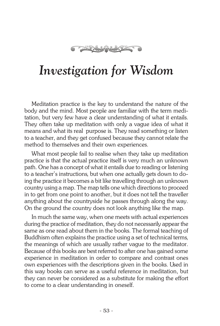#### THE REMERCING

### *Investigation for Wisdom*

Meditation practice is the key to understand the nature of the body and the mind. Most people are familiar with the term meditation, but very few have a clear understanding of what it entails. They often take up meditation with only a vague idea of what it means and what its real purpose is. They read something or listen to a teacher, and they get confused because they cannot relate the method to themselves and their own experiences.

What most people fail to realise when they take up meditation practice is that the actual practice itself is very much an unknown path. One has a concept of what it entails due to reading or listening to a teacher's instructions, but when one actually gets down to doing the practice it becomes a bit like travelling through an unknown country using a map. The map tells one which directions to proceed in to get from one point to another, but it does not tell the traveller anything about the countryside he passes through along the way. On the ground the country does not look anything like the map.

In much the same way, when one meets with actual experiences during the practice of meditation, they do not necessarily appear the same as one read about them in the books. The formal teaching of Buddhism often explains the practice using a set of technical terms, the meanings of which are usually rather vague to the meditator. Because of this books are best referred to after one has gained some experience in meditation in order to compare and contrast ones own experiences with the descriptions given in the books. Used in this way books can serve as a useful reference in meditation, but they can never be considered as a substitute for making the effort to come to a clear understanding in oneself.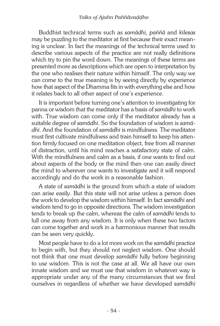Buddhist technical terms such as *samãdhi, paññã* and *kilesas* may be puzzling to the meditator at first because their exact meaning is unclear. In fact the meanings of the technical terms used to describe various aspects of the practice are not really definitions which try to pin the word down. The meanings of these terms are presented more as descriptions which are open to interpretation by the one who realises their nature within himself. The only way we can come to the true meaning is by seeing directly by experience how that aspect of the Dhamma fits in with everything else and how it relates back to all other aspect of one's experience.

It is important before turning one's attention to investigating for panna or wisdom that the meditator has a basis of *samãdhi* to work with. True wisdom can come only if the meditator already has a suitable degree of *samãdhi*. So the foundation of wisdom is *samãdhi*. And the foundation of *samãdhi* is mindfulness. The meditator must first cultivate mindfulness and train himself to keep his attention firmly focused on one meditation object, free from all manner of distraction, until his mind reaches a satisfactory state of calm. With the mindfulness and calm as a basis, if one wants to find out about aspects of the body or the mind then one can easily direct the mind to wherever one wants to investigate and it will respond accordingly and do the work in a reasonable fashion.

A state of *samãdhi* is the ground from which a state of wisdom can arise easily. But this state will not arise unless a person does the work to develop the wisdom within himself. In fact *samãdhi* and wisdom tend to go in opposite directions. The wisdom investigation tends to break up the calm, whereas the calm of *samãdhi* tends to lull one away from any wisdom. It is only when these two factors can come together and work in a harmonious manner that results can be seen very quickly.

Most people have to do a lot more work on the *samãdhi* practice to begin with, but they should not neglect wisdom. One should not think that one must develop *samãdhi* fully before beginning to use wisdom. This is not the case at all. We all have our own innate wisdom and we must use that wisdom in whatever way is appropriate under any of the many circumstances that we find ourselves in regardless of whether we have developed *samãdhi*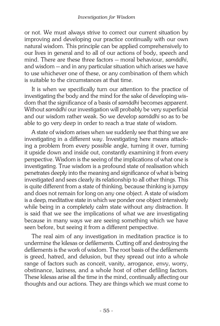or not. We must always strive to correct our current situation by improving and developing our practice continually with our own natural wisdom. This principle can be applied comprehensively to our lives in general and to all of our actions of body, speech and mind. There are these three factors – moral behaviour, *samãdhi*, and wisdom – and in any particular situation which arises we have to use whichever one of these, or any combination of them which is suitable to the circumstances at that time.

It is when we specifically turn our attention to the practice of investigating the body and the mind for the sake of developing wisdom that the significance of a basis of *samãdhi* becomes apparent. Without *samãdhi* our investigation will probably be very superficial and our wisdom rather weak. So we develop *samãdhi* so as to be able to go very deep in order to reach a true state of wisdom.

A state of wisdom arises when we suddenly see that thing we are investigating in a different way. Investigating here means attacking a problem from every possible angle, turning it over, turning it upside down and inside out, constantly examining it from every perspective. Wisdom is the seeing of the implications of what one is investigating. True wisdom is a profound state of realisation which penetrates deeply into the meaning and significance of what is being investigated and sees clearly its relationship to all other things. This is quite different from a state of thinking, because thinking is jumpy and does not remain for long on any one object. A state of wisdom is a deep, meditative state in which we ponder one object intensively while being in a completely calm state without any distraction. It is said that we see the implications of what we are investigating because in many ways we are seeing something which we have seen before, but seeing it from a different perspective.

The real aim of any investigation in meditation practice is to undermine the kilesas or defilements. Cutting off and destroying the defilements is the work of wisdom. The root basis of the defilements is greed, hatred, and delusion, but they spread out into a whole range of factors such as conceit, vanity, arrogance, envy, worry, obstinance, laziness, and a whole host of other defiling factors. These kilesas arise all the time in the mind, continually affecting our thoughts and our actions. They are things which we must come to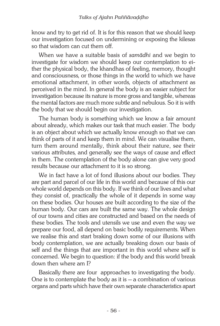know and try to get rid of. It is for this reason that we should keep our investigation focused on undermining or exposing the kilesas so that wisdom can cut them off.

When we have a suitable basis of *samãdhi* and we begin to investigate for wisdom we should keep our contemplation to either the physical body, the khandhas of feeling, memory, thought and consciousness, or those things in the world to which we have emotional attachment, in other words, objects of attachment as perceived in the mind. In general the body is an easier subject for investigation because its nature is more gross and tangible, whereas the mental factors are much more subtle and nebulous. So it is with the body that we should begin our investigation.

The human body is something which we know a fair amount about already, which makes our task that much easier. The body is an object about which we actually know enough so that we can think of parts of it and keep them in mind. We can visualise them, turn them around mentally, think about their nature, see their various attributes, and generally see the ways of cause and effect in them. The contemplation of the body alone can give very good results because our attachment to it is so strong.

We in fact have a lot of fond illusions about our bodies. They are part and parcel of our life in this world and because of this our whole world depends on this body. If we think of our lives and what they consist of, practically the whole of it depends in some way on these bodies. Our houses are built according to the size of the human body. Our cars are built the same way. The whole design of our towns and cities are constructed and based on the needs of these bodies. The tools and utensils we use and even the way we prepare our food, all depend on basic bodily requirements. When we realise this and start braking down some of our illusions with body contemplation, we are actually breaking down our basis of self and the things that are important in this world where self is concerned. We begin to question: if the body and this world break down then where am I?

Basically there are four approaches to investigating the body. One is to contemplate the body as it is  $-$  a combination of various organs and parts which have their own separate characteristics apart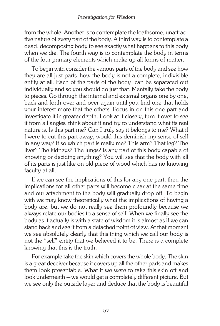from the whole. Another is to contemplate the loathsome, unattractive nature of every part of the body. A third way is to contemplate a dead, decomposing body to see exactly what happens to this body when we die. The fourth way is to contemplate the body in terms of the four primary elements which make up all forms of matter.

To begin with consider the various parts of the body and see how they are all just parts, how the body is not a complete, indivisible entity at all. Each of the parts of the body can be separated out individually and so you should do just that. Mentally take the body to pieces. Go through the internal and external organs one by one, back and forth over and over again until you find one that holds your interest more that the others. Focus in on this one part and investigate it in greater depth. Look at it closely, turn it over to see it from all angles, think about it and try to understand what its real nature is. Is this part me? Can I truly say it belongs to me? What if I were to cut this part away, would this deminish my sense of self in any way? If so which part is really me? This arm? That leg? The liver? The kidneys? The lungs? Is any part of this body capable of knowing or deciding anything? You will see that the body with all of its parts is just like on old piece of wood which has no knowing faculty at all.

If we can see the implications of this for any one part, then the implications for all other parts will become clear at the same time and our attachment to the body will gradually drop off. To begin with we may know theoretically what the implications of having a body are, but we do not really see them profoundly because we always relate our bodies to a sense of self. When we finally see the body as it actually is with a state of wisdom it is almost as if we can stand back and see it from a detached point of view. At that moment we see absolutely clearly that this thing which we call our body is not the "self" entity that we believed it to be. There is a complete knowing that this is the truth.

For example take the skin which covers the whole body. The skin is a great deceiver because it covers up all the other parts and makes them look presentable. What if we were to take this skin off and look underneath – we would get a completely different picture. But we see only the outside layer and deduce that the body is beautiful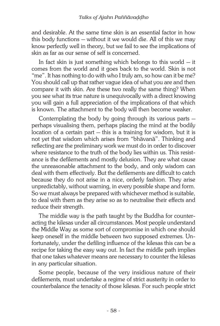and desirable. At the same time skin is an essential factor in how this body functions – without it we would die. All of this we may know perfectly well in theory, but we fail to see the implications of skin as far as our sense of self is concerned.

In fact skin is just something which belongs to this world – it comes from the world and it goes back to the world. Skin is not "me". It has nothing to do with who I truly am, so how can it be me? You should call up that rather vague idea of what you are and then compare it with skin. Are these two really the same thing? When you see what its true nature is unequivocally with a direct knowing you will gain a full appreciation of the implications of that which is known. The attachment to the body will then become weaker.

Contemplating the body by going through its various parts – perhaps visualising them, perhaps placing the mind at the bodily location of a certain part – this is a training for wisdom, but it is not yet that wisdom which arises from "bhãvanã". Thinking and reflecting are the preliminary work we must do in order to discover where resistance to the truth of the body lies within us. This resistance is the defilements and mostly delusion. They are what cause the unreasonable attachment to the body, and only wisdom can deal with them effectively. But the defilements are difficult to catch because they do not arise in a nice, orderly fashion. They arise unpredictably, without warning, in every possible shape and form. So we must always be prepared with whichever method is suitable, to deal with them as they arise so as to neutralise their effects and reduce their strength.

The middle way is the path taught by the Buddha for counteracting the kilesas under all circumstances. Most people understand the Middle Way as some sort of compromise in which one should keep oneself in the middle between two supposed extremes. Unfortunately, under the defiling influence of the kilesas this can be a recipe for taking the easy way out. In fact the middle path implies that one takes whatever means are necessary to counter the kilesas in any particular situation.

Some people, because of the very insidious nature of their defilements, must undertake a regime of strict austerity in order to counterbalance the tenacity of those kilesas. For such people strict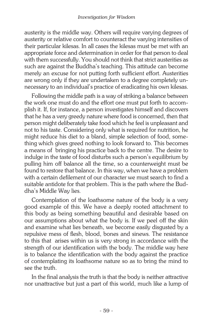austerity is the middle way. Others will require varying degrees of austerity or relative comfort to counteract the varying intensities of their particular kilesas. In all cases the kilesas must be met with an appropriate force and determination in order for that person to deal with them successfully. You should not think that strict austerities as such are against the Buddha's teaching. This attitude can become merely an excuse for not putting forth sufficient effort. Austerities are wrong only if they are undertaken to a degree completely unnecessary to an individual's practice of eradicating his own kilesas.

Following the middle path is a way of striking a balance between the work one must do and the effort one must put forth to accomplish it. If, for instance, a person investigates himself and discovers that he has a very greedy nature where food is concerned, then that person might deliberately take food which he feel is unpleasant and not to his taste. Considering only what is required for nutrition, he might reduce his diet to a bland, simple selection of food, something which gives greed nothing to look forward to. This becomes a means of bringing his practice back to the centre. The desire to indulge in the taste of food disturbs such a person's equilibrium by pulling him off balance all the time, so a counterweight must be found to restore that balance. In this way, when we have a problem with a certain defilement of our character we must search to find a suitable antidote for that problem. This is the path where the Buddha's Middle Way lies.

Contemplation of the loathsome nature of the body is a very good example of this. We have a deeply rooted attachment to this body as being something beautiful and desirable based on our assumptions about what the body is. If we peel off the skin and examine what lies beneath, we become easily disgusted by a repulsive mess of flesh, blood, bones and sinews. The resistance to this that arises within us is very strong in accordance with the strength of our identification with the body. The middle way here is to balance the identification with the body against the practice of contemplating its loathsome nature so as to bring the mind to see the truth.

In the final analysis the truth is that the body is neither attractive nor unattractive but just a part of this world, much like a lump of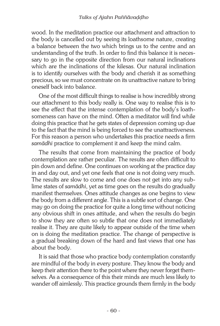wood. In the meditation practice our attachment and attraction to the body is cancelled out by seeing its loathsome nature, creating a balance between the two which brings us to the centre and an understanding of the truth. In order to find this balance it is necessary to go in the opposite direction from our natural inclinations which are the inclinations of the kilesas. Our natural inclination is to identify ourselves with the body and cherish it as something precious, so we must concentrate on its unattractive nature to bring oneself back into balance.

One of the most difficult things to realise is how incredibly strong our attachment to this body really is. One way to realise this is to see the effect that the intense contemplation of the body's loathsomeness can have on the mind. Often a meditator will find while doing this practice that he gets states of depression coming up due to the fact that the mind is being forced to see the unattractiveness. For this reason a person who undertakes this practice needs a firm *samãdhi* practice to complement it and keep the mind calm.

The results that come from maintaining the practice of body contemplation are rather peculiar. The results are often difficult to pin down and define. One continues on working at the practice day in and day out, and yet one feels that one is not doing very much. The results are slow to come and one does not get into any sublime states of *samãdhi*, yet as time goes on the results do gradually manifest themselves. Ones attitude changes as one begins to view the body from a different angle. This is a subtle sort of change. One may go on doing the practice for quite a long time without noticing any obvious shift in ones attitude, and when the results do begin to show they are often so subtle that one does not immediately realise it. They are quite likely to appear outside of the time when on is doing the meditation practice. The change of perspective is a gradual breaking down of the hard and fast views that one has about the body.

It is said that those who practice body contemplation constantly are mindful of the body in every posture. They know the body and keep their attention there to the point where they never forget themselves. As a consequence of this their minds are much less likely to wander off aimlessly. This practice grounds them firmly in the body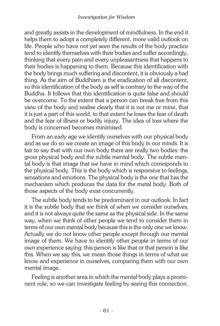and greatly assists in the development of mindfulness. In the end it helps them to adopt a completely different, more valid outlook on life. People who have not yet seen the results of the body practice tend to identify themselves with their bodies and suffer accordingly, thinking that every pain and every unpleasantness that happens to their bodies is happening to them. Because this identification with the body brings much suffering and discontent, it is obviously a bad thing. As the aim of Buddhism is the eradication of all discontent, so this identification of the body as self is contrary to the way of the Buddha. It follows that this identification is quite false and should be overcome. To the extent that a person can break free from this view of the body and realise clearly that it is not me or mine, that it is just a part of this world, to that extent he loses the fear of death and the fear of illness or bodily injury. The idea of loss where the body is concerned becomes minimised.

From an early age we identify ourselves with our physical body and as we do so we create an image of this body in our minds. It is fair to say that with our own body there are really two bodies: the gross physical body and the subtle mental body. The subtle mental body is that image that we have in mind which corresponds to the physical body. This is the body which is responsive to feelings, sensations and emotions. The physical body is the one that has the mechanism which produces the data for the metal body. Both of those aspects of the body exist concurrently.

The subtle body tends to be predominant in our outlook. In fact it is the subtle body that we think of when we consider ourselves, and it is not always quite the same as the physical side. In the same way, when we think of other people we tend to consider them in terms of our own mental body because this is the only one we know. Actually we do not know other people except through our mental image of them. We have to identify other people in terms of our own experience saying: this person is like that or that person is like this. When we say this, we mean those things in terms of what we know and experience in ourselves, comparing them with our own mental image.

Feeling is another area in which the mental body plays a prominent role, so we can investigate feeling by seeing this connection.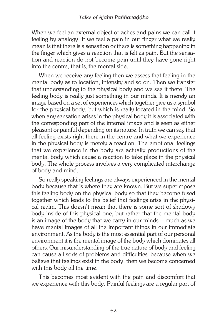When we feel an external object or aches and pains we can call it feeling by analogy. If we feel a pain in our finger what we really mean is that there is a sensation or there is something happening in the finger which gives a reaction that is felt as pain. But the sensation and reaction do not become pain until they have gone right into the centre, that is, the mental side.

When we receive any feeling then we assess that feeling in the mental body as to location, intensity and so on. Then we transfer that understanding to the physical body and we see it there. The feeling body is really just something in our minds. It is merely an image based on a set of experiences which together give us a symbol for the physical body, but which is really located in the mind. So when any sensation arises in the physical body it is associated with the corresponding part of the internal image and is seen as either pleasant or painful depending on its nature. In truth we can say that all feeling exists right there in the centre and what we experience in the physical body is merely a reaction. The emotional feelings that we experience in the body are actually productions of the mental body which cause a reaction to take place in the physical body. The whole process involves a very complicated interchange of body and mind.

So really speaking feelings are always experienced in the mental body because that is where they are known. But we superimpose this feeling body on the physical body so that they become fused together which leads to the belief that feelings arise in the physical realm. This doesn't mean that there is some sort of shadowy body inside of this physical one, but rather that the mental body is an image of the body that we carry in our minds – much as we have mental images of all the important things in our immediate environment. As the body is the most essential part of our personal environment it is the mental image of the body which dominates all others. Our misunderstanding of the true nature of body and feeling can cause all sorts of problems and difficulties, because when we believe that feelings exist in the body, then we become concerned with this body all the time.

This becomes most evident with the pain and discomfort that we experience with this body. Painful feelings are a regular part of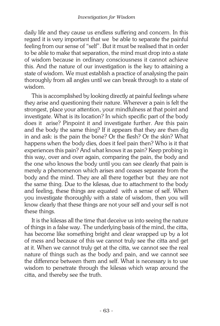daily life and they cause us endless suffering and concern. In this regard it is very important that we be able to separate the painful feeling from our sense of "self". But it must be realised that in order to be able to make that separation, the mind must drop into a state of wisdom because in ordinary consciousness it cannot achieve this. And the nature of our investigation is the key to attaining a state of wisdom. We must establish a practice of analysing the pain thoroughly from all angles until we can break through to a state of wisdom.

This is accomplished by looking directly at painful feelings where they arise and questioning their nature. Wherever a pain is felt the strongest, place your attention, your mindfulness at that point and investigate. What is its location? In which specific part of the body does it arise? Pinpoint it and investigate further. Are this pain and the body the same thing? If it appears that they are then dig in and ask: is the pain the bone? Or the flesh? Or the skin? What happens when the body dies, does it feel pain then? Who is it that experiences this pain? And what knows it as pain? Keep probing in this way, over and over again, comparing the pain, the body and the one who knows the body until you can see clearly that pain is merely a phenomenon which arises and ceases separate from the body and the mind. They are all there together but they are not the same thing. Due to the kilesas, due to attachment to the body and feeling, these things are equated with a sense of self. When you investigate thoroughly with a state of wisdom, then you will know clearly that these things are not your self and your self is not these things.

It is the kilesas all the time that deceive us into seeing the nature of things in a false way. The underlying basis of the mind, the citta, has become like something bright and clear wrapped up by a lot of mess and because of this we cannot truly see the citta and get at it. When we cannot truly get at the citta, we cannot see the real nature of things such as the body and pain, and we cannot see the difference between them and self. What is necessary is to use wisdom to penetrate through the kilesas which wrap around the citta, and thereby see the truth.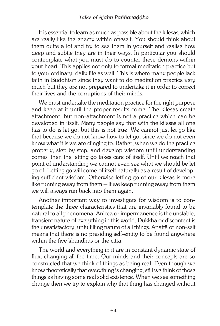It is essential to learn as much as possible about the kilesas, which are really like the enemy within oneself. You should think about them quite a lot and try to see them in yourself and realise how deep and subtle they are in their ways. In particular you should contemplate what you must do to counter these demons within your heart. This applies not only to formal meditation practice but to your ordinary, daily life as well. This is where many people lack faith in Buddhism since they want to do meditation practice very much but they are not prepared to undertake it in order to correct their lives and the corruptions of their minds.

We must undertake the meditation practice for the right purpose and keep at it until the proper results come. The kilesas create attachment, but non-attachment is not a practice which can be developed in itself. Many people say that with the kilesas all one has to do is let go, but this is not true. We cannot just let go like that because we do not know how to let go, since we do not even know what it is we are clinging to. Rather, when we do the practice properly, step by step, and develop wisdom until understanding comes, then the letting go takes care of itself. Until we reach that point of understanding we cannot even see what we should be let go of. Letting go will come of itself naturally as a result of developing sufficient wisdom. Otherwise letting go of our kilesas is more like running away from them – if we keep running away from them we will always run back into them again.

Another important way to investigate for wisdom is to contemplate the three characteristics that are invariably found to be natural to all phenomena. Anicca or impermanence is the unstable, transient nature of everything in this world. Dukkha or discontent is the unsatisfactory, unfulfilling nature of all things. Anattã or non-self means that there is no presiding self-entity to be found anywhere within the five khandhas or the citta.

The world and everything in it are in constant dynamic state of flux, changing all the time. Our minds and their concepts are so constructed that we think of things as being real. Even though we know theoretically that everything is changing, still we think of those things as having some real solid existence. When we see something change then we try to explain why that thing has changed without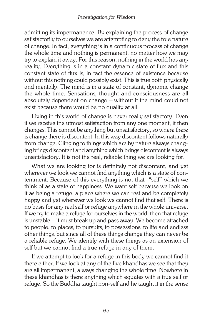admitting its impermanence. By explaining the process of change satisfactorily to ourselves we are attempting to deny the true nature of change. In fact, everything is in a continuous process of change the whole time and nothing is permanent, no matter how we may try to explain it away. For this reason, nothing in the world has any reality. Everything is in a constant dynamic state of flux and this constant state of flux is, in fact the essence of existence because without this nothing could possibly exist. This is true both physically and mentally. The mind is in a state of constant, dynamic change the whole time. Sensations, thought and consciousness are all absolutely dependent on change – without it the mind could not exist because there would be no duality at all.

Living in this world of change is never really satisfactory. Even if we receive the utmost satisfaction from any one moment, it then changes. This cannot be anything but unsatisfactory, so where there is change there is discontent. In this way discontent follows naturally from change. Clinging to things which are by nature always changing brings discontent and anything which brings discontent is always unsatisfactory. It is not the real, reliable thing we are looking for.

What we are looking for is definitely not discontent, and yet wherever we look we cannot find anything which is a state of contentment. Because of this everything is not that "self" which we think of as a state of happiness. We want self because we look on it as being a refuge, a place where we can rest and be completely happy and yet wherever we look we cannot find that self. There is no basis for any real self or refuge anywhere in the whole universe. If we try to make a refuge for ourselves in the world, then that refuge is unstable – it must break up and pass away. We become attached to people, to places, to pursuits, to possessions, to life and endless other things, but since all of these things change they can never be a reliable refuge. We identify with these things as an extension of self but we cannot find a true refuge in any of them.

If we attempt to look for a refuge in this body we cannot find it there either. If we look at any of the five khandhas we see that they are all impermanent, always changing the whole time. Nowhere in these khandhas is there anything which equates with a true self or refuge. So the Buddha taught non-self and he taught it in the sense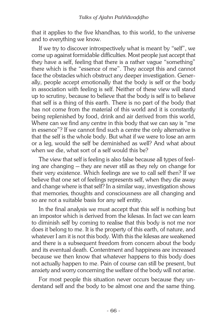that it applies to the five khandhas, to this world, to the universe and to everything we know.

If we try to discover introspectively what is meant by "self", we come up against formidable difficulties. Most people just accept that they have a self, feeling that there is a rather vague "something" there which is the "essence of me". They accept this and cannot face the obstacles which obstruct any deeper investigation. Generally, people accept emotionally that the body is self or the body in association with feeling is self. Neither of these view will stand up to scrutiny, because to believe that the body is self is to believe that self is a thing of this earth. There is no part of the body that has not come from the material of this world and it is constantly being replenished by food, drink and air derived from this world, Where can we find any centre in this body that we can say is "me in essence"? If we cannot find such a centre the only alternative is that the self is the whole body. But what if we were to lose an arm or a leg, would the self be deminished as well? And what about when we die, what sort of a self would this be?

The view that self is feeling is also false because all types of feeling are changing – they are never still as they rely on change for their very existence. Which feelings are we to call self then? If we believe that one set of feelings represents self, when they die away and change where is that self? In a similar way, investigation shows that memories, thoughts and consciousness are all changing and so are not a suitable basis for any self entity.

In the final analysis we must accept that this self is nothing but an impostor which is derived from the kilesas. In fact we can learn to diminish self by coming to realise that this body is not me nor does it belong to me. It is the property of this earth, of nature, and whatever I am it is not this body. With this the kilesas are weakened and there is a subsequent freedom from concern about the body and its eventual death. Contentment and happiness are increased because we then know that whatever happens to this body does not actually happen to me. Pain of course can still be present, but anxiety and worry concerning the welfare of the body will not arise.

For most people this situation never occurs because they understand self and the body to be almost one and the same thing.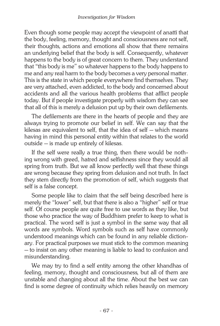Even though some people may accept the viewpoint of anattï that the body, feeling, memory, thought and consciousness are not self, their thoughts, actions and emotions all show that there remains an underlying belief that the body is self. Consequently, whatever happens to the body is of great concern to them. They understand that "this body is me" so whatever happens to the body happens to me and any real harm to the body becomes a very personal matter. This is the state in which people everywhere find themselves. They are very attached, even addicted, to the body and concerned about accidents and all the various health problems that afflict people today. But if people investigate properly with wisdom they can see that all of this is merely a delusion put up by their own defilements.

The defilements are there in the hearts of people and they are always trying to promote our belief in self. We can say that the kilesas are equivalent to self, that the idea of self – which means having in mind this personal entity within that relates to the world outside – is made up entirely of kilesas.

If the self were really a true thing, then there would be nothing wrong with greed, hatred and selfishness since they would all spring from truth. But we all know perfectly well that these things are wrong because they spring from delusion and not truth. In fact they stem directly from the promotion of self, which suggests that self is a false concept.

Some people like to claim that the self being described here is merely the "lower" self, but that there is also a "higher" self or true self. Of course people are quite free to use words as they like, but those who practice the way of Buddhism prefer to keep to what is practical. The word self is just a symbol in the same way that all words are symbols. Word symbols such as self have commonly understood meanings which can be found in any reliable dictionary. For practical purposes we must stick to the common meaning – to insist on any other meaning is liable to lead to confusion and misunderstanding.

We may try to find a self entity among the other khandhas of feeling, memory, thought and consciousness, but all of them are unstable and changing about all the time. About the best we can find is some degree of continuity which relies heavily on memory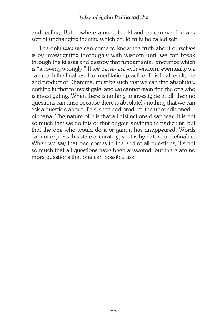and feeling. But nowhere among the khandhas can we find any sort of unchanging identity which could truly be called self.

The only way we can come to know the truth about ourselves is by investigating thoroughly with wisdom until we can break through the kilesas and destroy that fundamental ignorance which is "knowing wrongly." If we persevere with wisdom, eventually we can reach the final result of meditation practice. This final result, the end product of Dhamma, must be such that we can find absolutely nothing further to investigate, and we cannot even find the one who is investigating. When there is nothing to investigate at all, then no questions can arise because there is absolutely nothing that we can ask a question about. This is the end product, the unconditioned – nibbãna. The nature of it is that all distinctions disappear. It is not so much that we do this or that or gain anything in particular, but that the one who would do it or gain it has disappeared. Words cannot express this state accurately, so it is by nature undefinable. When we say that one comes to the end of all questions, it's not so much that all questions have been answered, but there are no more questions that one can possibly ask.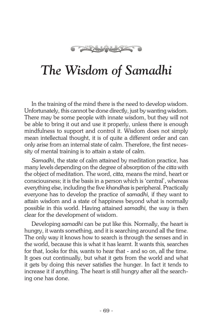### **MARINERELL'I**

## *The Wisdom of Samadhi*

In the training of the mind there is the need to develop wisdom. Unfortunately, this cannot be done directly, just by wanting wisdom. There may be some people with innate wisdom, but they will not be able to bring it out and use it properly, unless there is enough mindfulness to support and control it. Wisdom does not simply mean intellectual thought, it is of quite a different order and can only arise from an internal state of calm. Therefore, the first necessity of mental training is to attain a state of calm.

*Samadhi,* the state of calm attained by meditation practice, has many levels depending on the degree of absorption of the *citta* with the object of meditation. The word, *citta,* means the mind, heart or consciousness; it is the basis in a person which is 'central', whereas everything else, including the five *khandhas* is peripheral. Practically everyone has to develop the practice of *samadhi,* if they want to attain wisdom and a state of happiness beyond what is normally possible in this world. Having attained *samadhi,* the way is then clear for the development of wisdom.

Developing *samadhi* can be put like this. Normally, the heart is hungry, it wants something, and it is searching around all the time. The only way it knows how to search is through the senses and in the world, because this is what it has learnt. It wants this, searches for that, looks for this, wants to hear that - and so on, all the time. It goes out continually, but what it gets from the world and what it gets by doing this never satisfies the hunger. In fact it tends to increase it if anything. The heart is still hungry after all the searching one has done.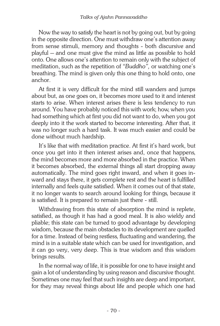Now the way to satisfy the heart is not by going out, but by going in the opposite direction. One must withdraw one's attention away from sense stimuli, memory and thoughts - both discursive and playful – and one must give the mind as little as possible to hold onto. One allows one's attention to remain only with the subject of meditation, such as the repetition of *"Buddho",* or watching one's breathing. The mind is given only this one thing to hold onto, one anchor.

At first it is very difficult for the mind still wanders and jumps about but, as one goes on, it becomes more used to it and interest starts to arise. When interest arises there is less tendency to run around. You have probably noticed this with work; how, when you had something which at first you did not want to do, when you got deeply into it the work started to become interesting. After that, it was no longer such a hard task. It was much easier and could be done without much hardship.

It's like that with meditation practice. At first it's hard work, but once you get into it then interest arises and, once that happens, the mind becomes more and more absorbed in the practice. When it becomes absorbed, the external things all start dropping away automatically. The mind goes right inward, and when it goes inward and stays there, it gets complete rest and the heart is fulfilled internally and feels quite satisfied. When it comes out of that state, it no longer wants to search around looking for things, because it is satisfied. It is prepared to remain just there - still.

Withdrawing from this state of absorption the mind is replete, satisfied, as though it has had a good meal. It is also wieldy and pliable; this state can be turned to good advantage by developing wisdom, because the main obstacles to its development are quelled for a time. Instead of being restless, fluctuating and wandering, the mind is in a suitable state which can be used for investigation, and it can go very, very deep. This is true wisdom and this wisdom brings results.

In the normal way of life, it is possible for one to have insight and gain a lot of understanding by using reason and discursive thought. Sometimes one may feel that such insights are deep and important, for they may reveal things about life and people which one had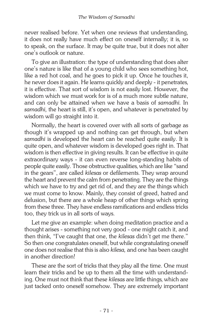never realised before. Yet when one reviews that understanding, it does not really have much effect on oneself internally; it is, so to speak, on the surface. It may be quite true, but it does not alter one's outlook or nature.

To give an illustration: the type of understanding that does alter one's nature is like that of a young child who sees something hot, like a red hot coal, and he goes to pick it up. Once he touches it, he never does it again. He learns quickly and deeply - it penetrates, it is effective. That sort of wisdom is not easily lost. However, the wisdom which we must work for is of a much more subtle nature, and can only be attained when we have a basis of *samadhi.* In *samadhi,* the heart is still, it's open, and whatever is penetrated by wisdom will go straight into it.

Normally, the heart is covered over with all sorts of garbage as though it's wrapped up and nothing can get through, but when *samadhi* is developed the heart can be reached quite easily. It is quite open, and whatever wisdom is developed goes right in. That wisdom is then effective in giving results. It can be effective in quite extraordinary ways - it can even reverse long-standing habits of people quite easily. Those obstructive qualities, which are like "sand in the gears", are called *kilesas* or defilements. They wrap around the heart and prevent the calm from penetrating. They are the things which we have to try and get rid of, and they are the things which we must come to know. Mainly, they consist of greed, hatred and delusion, but there are a whole heap of other things which spring from these three. They have endless ramifications and endless tricks too, they trick us in all sorts of ways.

Let me give an example: when doing meditation practice and a thought arises - something not very good - one might catch it, and then think, "I've caught that one, the *kilesas* didn't get me there." So then one congratulates oneself, but while congratulating oneself one does not realise that this is also *kilesa,* and one has been caught in another direction!

These are the sort of tricks that they play all the time. One must learn their tricks and be up to them all the time with understanding. One must not think that these *kilesas* are little things, which are just tacked onto oneself somehow. They are extremely important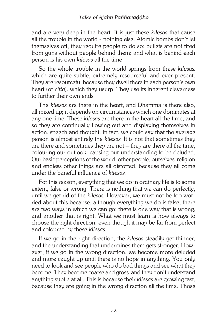and are very deep in the heart. It is just these *kilesas* that cause all the trouble in the world - nothing else. Atomic bombs don't let themselves off, they require people to do so; bullets are not fired from guns without people behind them; and what is behind each person is his own *kilesas* all the time.

So the whole trouble in the world springs from these *kilesas,* which are quite subtle, extremely resourceful and ever-present. They are resourceful because they dwell there in each person's own heart (or *citta*), which they usurp. They use its inherent cleverness to further their own ends.

The *kilesas* are there in the heart, and Dhamma is there also, all mixed up; it depends on circumstances which one dominates at any one time. These *kilesas* are there in the heart all the time, and so they are continually flowing out and displaying themselves in action, speech and thought. In fact, we could say that the average person is almost entirely the *kilesas.* It is not that sometimes they are there and sometimes they are not – they are there all the time, colouring our outlook, causing our understanding to be deluded. Our basic perceptions of the world, other people, ourselves, religion and endless other things are all distorted, because they all come under the baneful influence of *kilesas.*

For this reason, everything that we do in ordinary life is to some extent, false or wrong. There is nothing that we can do perfectly, until we get rid of the *kilesas.* However, we must not be too worried about this because, although everything we do is false, there are two ways in which we can go; there is one way that is wrong, and another that is right. What we must learn is how always to choose the right direction, even though it may be far from perfect and coloured by these *kilesas.*

If we go in the right direction, the *kilesas* steadily get thinner, and the understanding that undermines them gets stronger. However, if we go in the wrong direction, we become more deluded and more caught up until there is no hope in anything. You only need to look and see people who do bad things and see what they become. They become coarse and gross, and they don't understand anything subtle at all. This is because their *kilesas* are growing fast, because they are going in the wrong direction all the time. Those